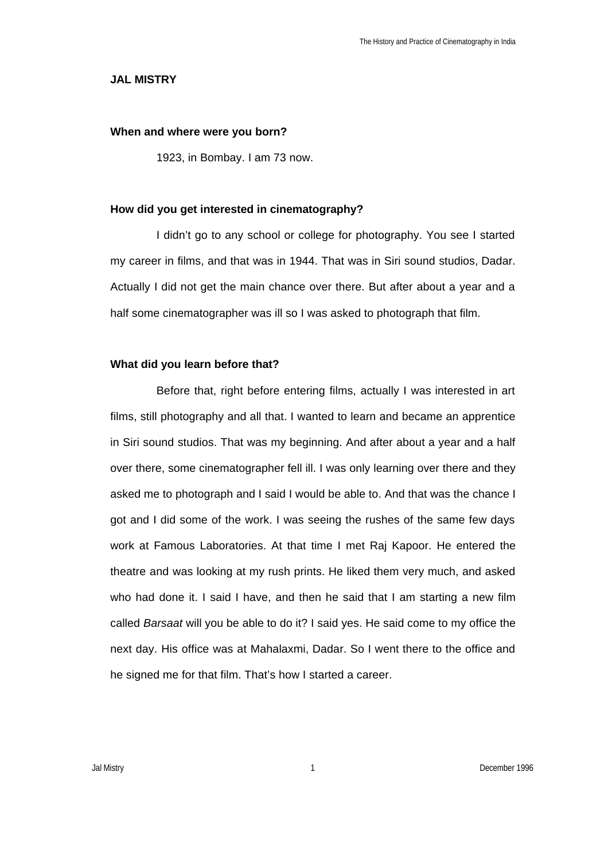#### **JAL MISTRY**

#### **When and where were you born?**

1923, in Bombay. I am 73 now.

### **How did you get interested in cinematography?**

I didn't go to any school or college for photography. You see I started my career in films, and that was in 1944. That was in Siri sound studios, Dadar. Actually I did not get the main chance over there. But after about a year and a half some cinematographer was ill so I was asked to photograph that film.

#### **What did you learn before that?**

Before that, right before entering films, actually I was interested in art films, still photography and all that. I wanted to learn and became an apprentice in Siri sound studios. That was my beginning. And after about a year and a half over there, some cinematographer fell ill. I was only learning over there and they asked me to photograph and I said I would be able to. And that was the chance I got and I did some of the work. I was seeing the rushes of the same few days work at Famous Laboratories. At that time I met Raj Kapoor. He entered the theatre and was looking at my rush prints. He liked them very much, and asked who had done it. I said I have, and then he said that I am starting a new film called *Barsaat* will you be able to do it? I said yes. He said come to my office the next day. His office was at Mahalaxmi, Dadar. So I went there to the office and he signed me for that film. That's how I started a career.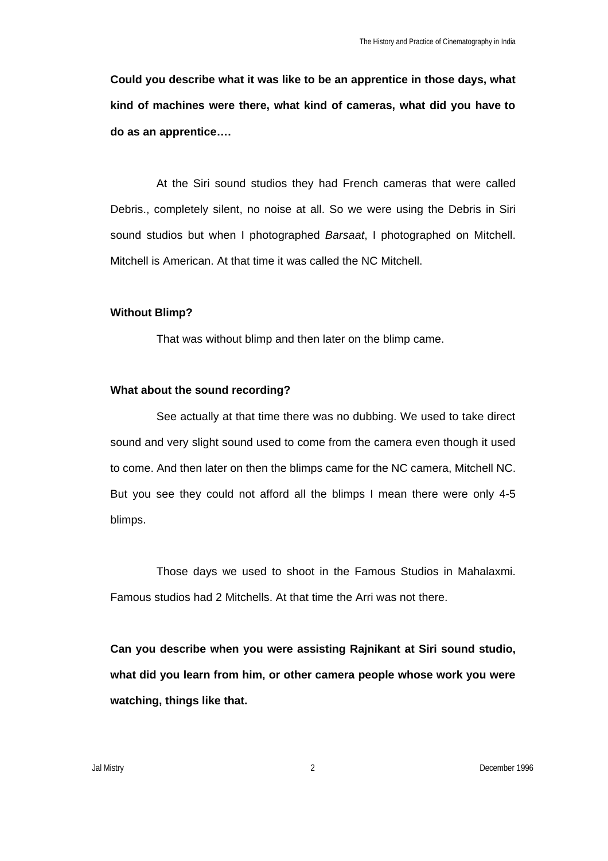**Could you describe what it was like to be an apprentice in those days, what kind of machines were there, what kind of cameras, what did you have to do as an apprentice….**

At the Siri sound studios they had French cameras that were called Debris., completely silent, no noise at all. So we were using the Debris in Siri sound studios but when I photographed *Barsaat*, I photographed on Mitchell. Mitchell is American. At that time it was called the NC Mitchell.

#### **Without Blimp?**

That was without blimp and then later on the blimp came.

## **What about the sound recording?**

See actually at that time there was no dubbing. We used to take direct sound and very slight sound used to come from the camera even though it used to come. And then later on then the blimps came for the NC camera, Mitchell NC. But you see they could not afford all the blimps I mean there were only 4-5 blimps.

Those days we used to shoot in the Famous Studios in Mahalaxmi. Famous studios had 2 Mitchells. At that time the Arri was not there.

**Can you describe when you were assisting Rajnikant at Siri sound studio, what did you learn from him, or other camera people whose work you were watching, things like that.**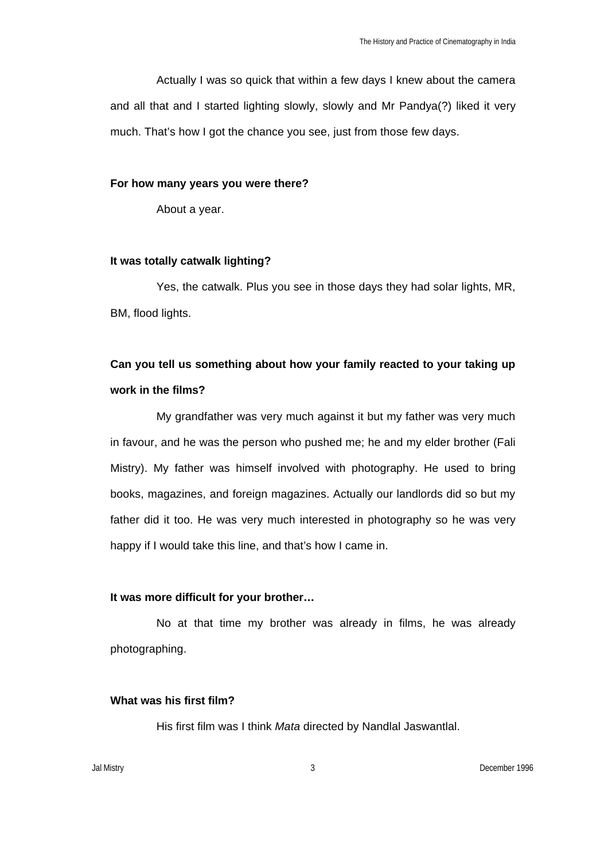Actually I was so quick that within a few days I knew about the camera and all that and I started lighting slowly, slowly and Mr Pandya(?) liked it very much. That's how I got the chance you see, just from those few days.

#### **For how many years you were there?**

About a year.

#### **It was totally catwalk lighting?**

Yes, the catwalk. Plus you see in those days they had solar lights, MR, BM, flood lights.

# **Can you tell us something about how your family reacted to your taking up work in the films?**

My grandfather was very much against it but my father was very much in favour, and he was the person who pushed me; he and my elder brother (Fali Mistry). My father was himself involved with photography. He used to bring books, magazines, and foreign magazines. Actually our landlords did so but my father did it too. He was very much interested in photography so he was very happy if I would take this line, and that's how I came in.

### **It was more difficult for your brother…**

No at that time my brother was already in films, he was already photographing.

## **What was his first film?**

His first film was I think *Mata* directed by Nandlal Jaswantlal.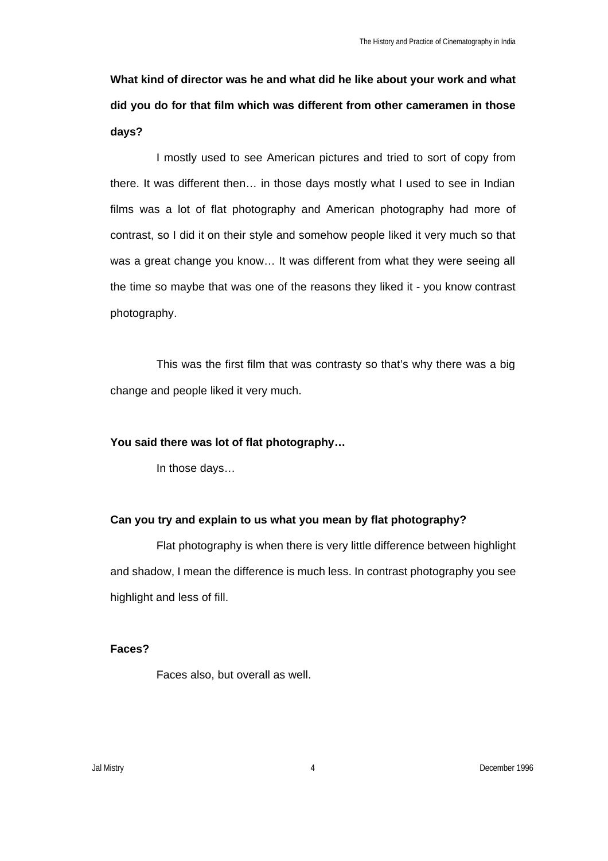**What kind of director was he and what did he like about your work and what did you do for that film which was different from other cameramen in those days?**

I mostly used to see American pictures and tried to sort of copy from there. It was different then… in those days mostly what I used to see in Indian films was a lot of flat photography and American photography had more of contrast, so I did it on their style and somehow people liked it very much so that was a great change you know… It was different from what they were seeing all the time so maybe that was one of the reasons they liked it - you know contrast photography.

This was the first film that was contrasty so that's why there was a big change and people liked it very much.

## **You said there was lot of flat photography…**

In those days…

## **Can you try and explain to us what you mean by flat photography?**

Flat photography is when there is very little difference between highlight and shadow, I mean the difference is much less. In contrast photography you see highlight and less of fill.

## **Faces?**

Faces also, but overall as well.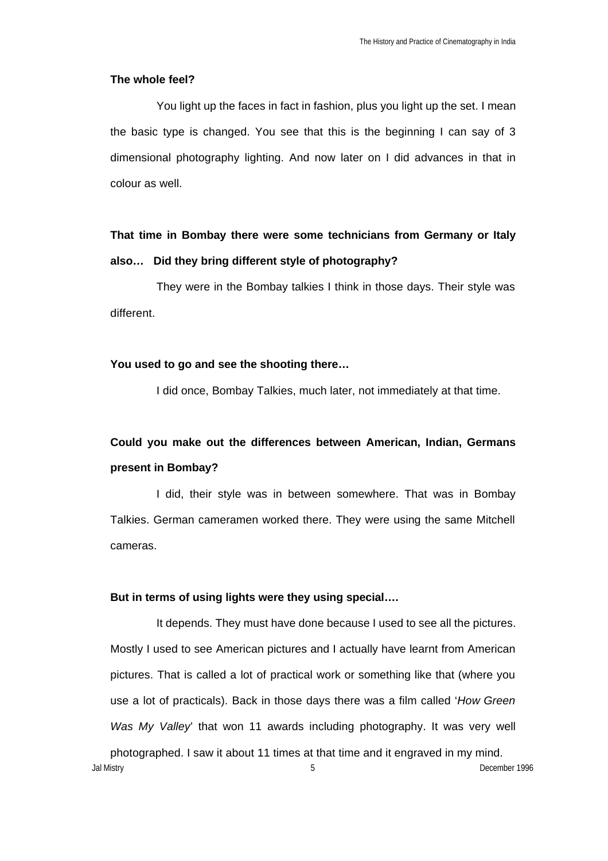#### **The whole feel?**

You light up the faces in fact in fashion, plus you light up the set. I mean the basic type is changed. You see that this is the beginning I can say of 3 dimensional photography lighting. And now later on I did advances in that in colour as well.

# **That time in Bombay there were some technicians from Germany or Italy also… Did they bring different style of photography?**

They were in the Bombay talkies I think in those days. Their style was different.

### **You used to go and see the shooting there…**

I did once, Bombay Talkies, much later, not immediately at that time.

## **Could you make out the differences between American, Indian, Germans present in Bombay?**

I did, their style was in between somewhere. That was in Bombay Talkies. German cameramen worked there. They were using the same Mitchell cameras.

### **But in terms of using lights were they using special….**

Jal Mistry 5 December 1996 It depends. They must have done because I used to see all the pictures. Mostly I used to see American pictures and I actually have learnt from American pictures. That is called a lot of practical work or something like that (where you use a lot of practicals). Back in those days there was a film called '*How Green Was My Valley*' that won 11 awards including photography. It was very well photographed. I saw it about 11 times at that time and it engraved in my mind.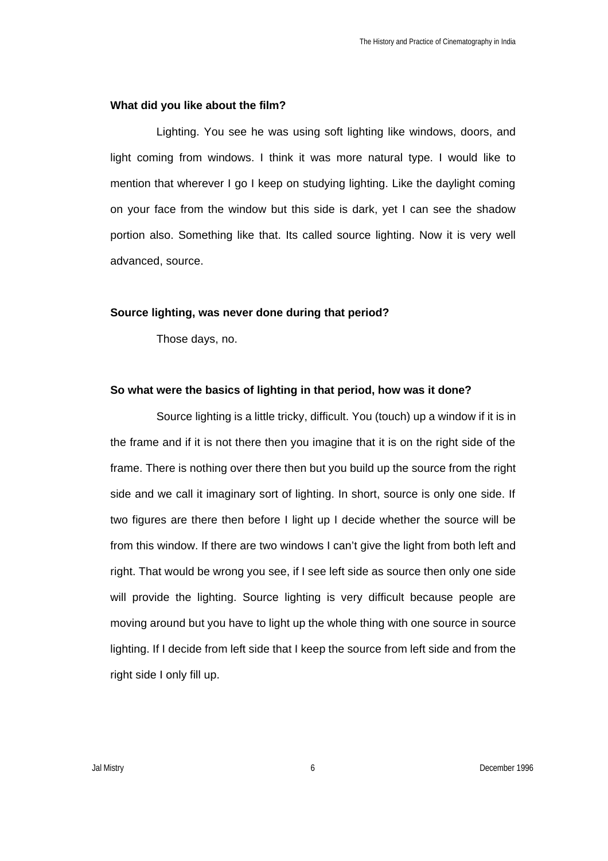#### **What did you like about the film?**

Lighting. You see he was using soft lighting like windows, doors, and light coming from windows. I think it was more natural type. I would like to mention that wherever I go I keep on studying lighting. Like the daylight coming on your face from the window but this side is dark, yet I can see the shadow portion also. Something like that. Its called source lighting. Now it is very well advanced, source.

#### **Source lighting, was never done during that period?**

Those days, no.

## **So what were the basics of lighting in that period, how was it done?**

Source lighting is a little tricky, difficult. You (touch) up a window if it is in the frame and if it is not there then you imagine that it is on the right side of the frame. There is nothing over there then but you build up the source from the right side and we call it imaginary sort of lighting. In short, source is only one side. If two figures are there then before I light up I decide whether the source will be from this window. If there are two windows I can't give the light from both left and right. That would be wrong you see, if I see left side as source then only one side will provide the lighting. Source lighting is very difficult because people are moving around but you have to light up the whole thing with one source in source lighting. If I decide from left side that I keep the source from left side and from the right side I only fill up.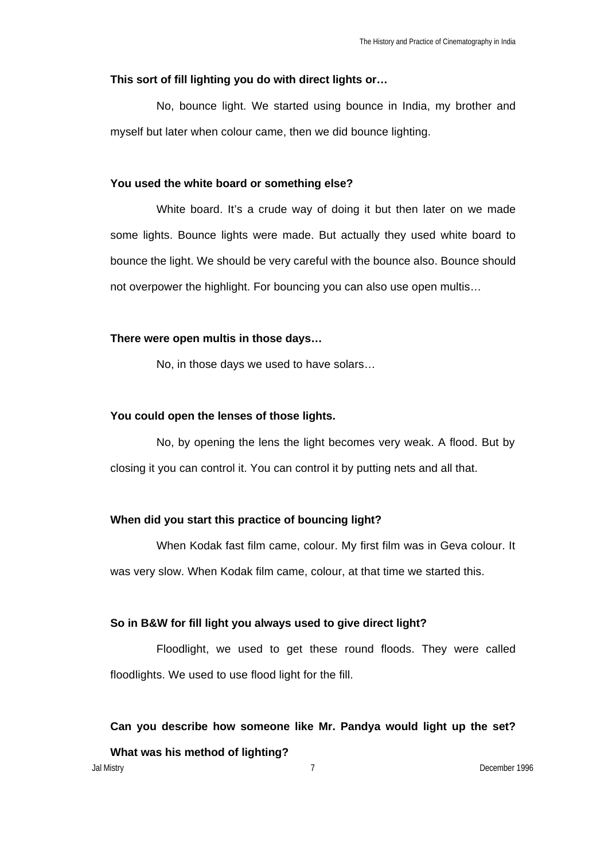### **This sort of fill lighting you do with direct lights or…**

No, bounce light. We started using bounce in India, my brother and myself but later when colour came, then we did bounce lighting.

#### **You used the white board or something else?**

White board. It's a crude way of doing it but then later on we made some lights. Bounce lights were made. But actually they used white board to bounce the light. We should be very careful with the bounce also. Bounce should not overpower the highlight. For bouncing you can also use open multis...

### **There were open multis in those days…**

No, in those days we used to have solars…

### **You could open the lenses of those lights.**

No, by opening the lens the light becomes very weak. A flood. But by closing it you can control it. You can control it by putting nets and all that.

## **When did you start this practice of bouncing light?**

When Kodak fast film came, colour. My first film was in Geva colour. It was very slow. When Kodak film came, colour, at that time we started this.

## **So in B&W for fill light you always used to give direct light?**

Floodlight, we used to get these round floods. They were called floodlights. We used to use flood light for the fill.

## **Can you describe how someone like Mr. Pandya would light up the set?**

**What was his method of lighting?**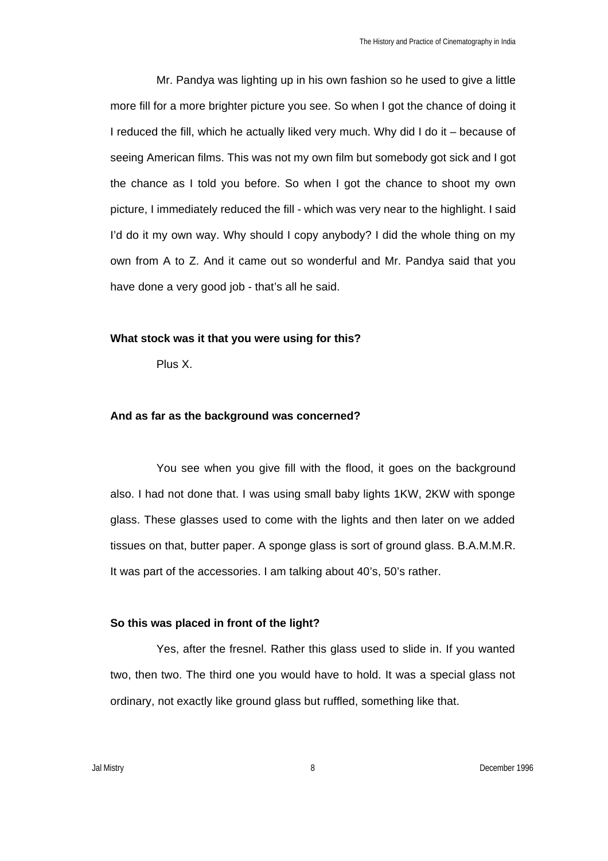Mr. Pandya was lighting up in his own fashion so he used to give a little more fill for a more brighter picture you see. So when I got the chance of doing it I reduced the fill, which he actually liked very much. Why did I do it – because of seeing American films. This was not my own film but somebody got sick and I got the chance as I told you before. So when I got the chance to shoot my own picture, I immediately reduced the fill - which was very near to the highlight. I said I'd do it my own way. Why should I copy anybody? I did the whole thing on my own from A to Z. And it came out so wonderful and Mr. Pandya said that you have done a very good job - that's all he said.

#### **What stock was it that you were using for this?**

Plus X.

#### **And as far as the background was concerned?**

You see when you give fill with the flood, it goes on the background also. I had not done that. I was using small baby lights 1KW, 2KW with sponge glass. These glasses used to come with the lights and then later on we added tissues on that, butter paper. A sponge glass is sort of ground glass. B.A.M.M.R. It was part of the accessories. I am talking about 40's, 50's rather.

## **So this was placed in front of the light?**

Yes, after the fresnel. Rather this glass used to slide in. If you wanted two, then two. The third one you would have to hold. It was a special glass not ordinary, not exactly like ground glass but ruffled, something like that.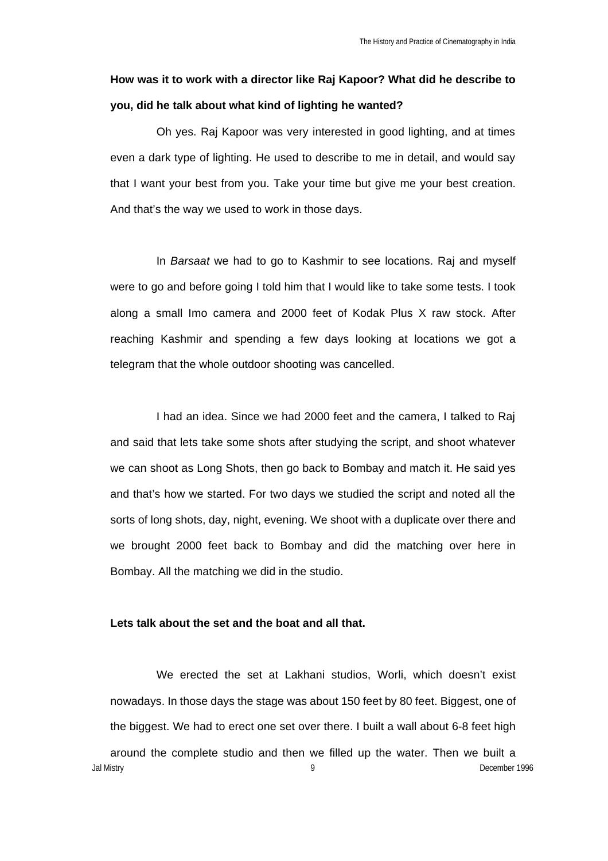# **How was it to work with a director like Raj Kapoor? What did he describe to you, did he talk about what kind of lighting he wanted?**

Oh yes. Raj Kapoor was very interested in good lighting, and at times even a dark type of lighting. He used to describe to me in detail, and would say that I want your best from you. Take your time but give me your best creation. And that's the way we used to work in those days.

In *Barsaat* we had to go to Kashmir to see locations. Raj and myself were to go and before going I told him that I would like to take some tests. I took along a small Imo camera and 2000 feet of Kodak Plus X raw stock. After reaching Kashmir and spending a few days looking at locations we got a telegram that the whole outdoor shooting was cancelled.

I had an idea. Since we had 2000 feet and the camera, I talked to Raj and said that lets take some shots after studying the script, and shoot whatever we can shoot as Long Shots, then go back to Bombay and match it. He said yes and that's how we started. For two days we studied the script and noted all the sorts of long shots, day, night, evening. We shoot with a duplicate over there and we brought 2000 feet back to Bombay and did the matching over here in Bombay. All the matching we did in the studio.

### **Lets talk about the set and the boat and all that.**

Jal Mistry 9 December 1996 We erected the set at Lakhani studios, Worli, which doesn't exist nowadays. In those days the stage was about 150 feet by 80 feet. Biggest, one of the biggest. We had to erect one set over there. I built a wall about 6-8 feet high around the complete studio and then we filled up the water. Then we built a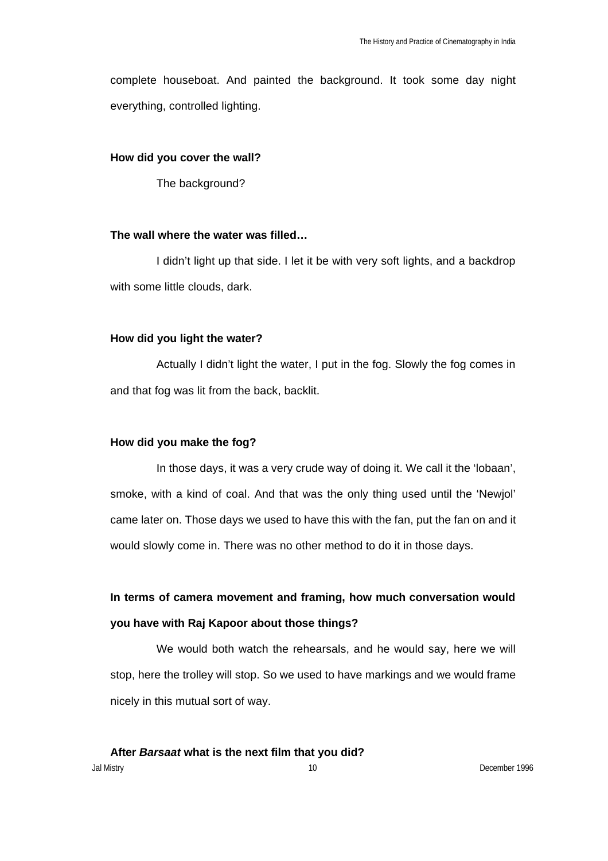complete houseboat. And painted the background. It took some day night everything, controlled lighting.

### **How did you cover the wall?**

The background?

## **The wall where the water was filled…**

I didn't light up that side. I let it be with very soft lights, and a backdrop with some little clouds, dark.

### **How did you light the water?**

Actually I didn't light the water, I put in the fog. Slowly the fog comes in and that fog was lit from the back, backlit.

## **How did you make the fog?**

In those days, it was a very crude way of doing it. We call it the 'lobaan', smoke, with a kind of coal. And that was the only thing used until the 'Newjol' came later on. Those days we used to have this with the fan, put the fan on and it would slowly come in. There was no other method to do it in those days.

# **In terms of camera movement and framing, how much conversation would you have with Raj Kapoor about those things?**

We would both watch the rehearsals, and he would say, here we will stop, here the trolley will stop. So we used to have markings and we would frame nicely in this mutual sort of way.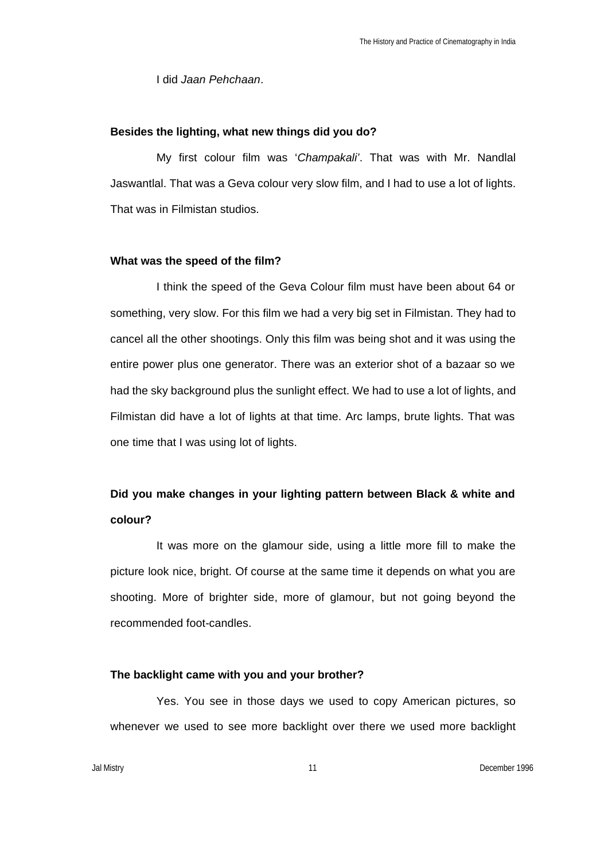I did *Jaan Pehchaan*.

### **Besides the lighting, what new things did you do?**

My first colour film was '*Champakali'*. That was with Mr. Nandlal Jaswantlal. That was a Geva colour very slow film, and I had to use a lot of lights. That was in Filmistan studios.

#### **What was the speed of the film?**

I think the speed of the Geva Colour film must have been about 64 or something, very slow. For this film we had a very big set in Filmistan. They had to cancel all the other shootings. Only this film was being shot and it was using the entire power plus one generator. There was an exterior shot of a bazaar so we had the sky background plus the sunlight effect. We had to use a lot of lights, and Filmistan did have a lot of lights at that time. Arc lamps, brute lights. That was one time that I was using lot of lights.

## **Did you make changes in your lighting pattern between Black & white and colour?**

It was more on the glamour side, using a little more fill to make the picture look nice, bright. Of course at the same time it depends on what you are shooting. More of brighter side, more of glamour, but not going beyond the recommended foot-candles.

#### **The backlight came with you and your brother?**

Yes. You see in those days we used to copy American pictures, so whenever we used to see more backlight over there we used more backlight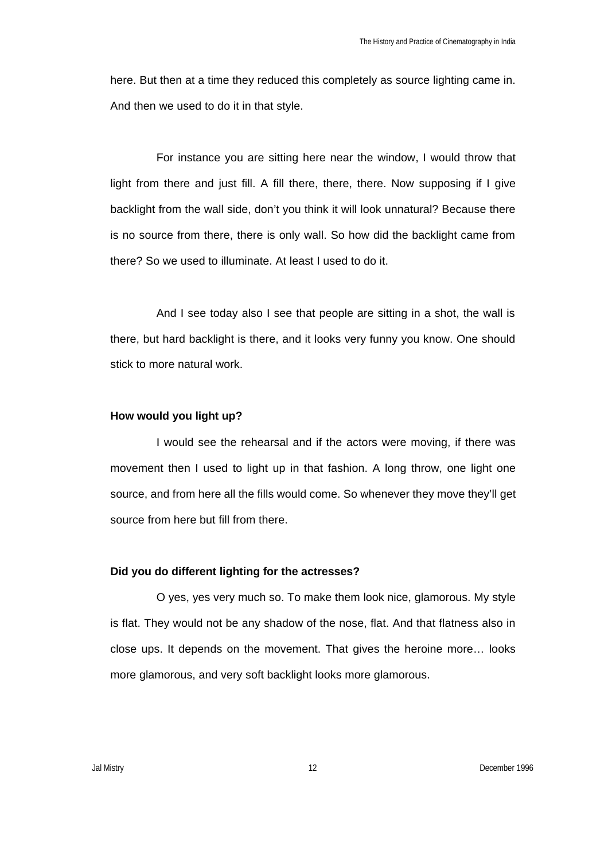here. But then at a time they reduced this completely as source lighting came in. And then we used to do it in that style.

For instance you are sitting here near the window, I would throw that light from there and just fill. A fill there, there, there. Now supposing if I give backlight from the wall side, don't you think it will look unnatural? Because there is no source from there, there is only wall. So how did the backlight came from there? So we used to illuminate. At least I used to do it.

And I see today also I see that people are sitting in a shot, the wall is there, but hard backlight is there, and it looks very funny you know. One should stick to more natural work.

## **How would you light up?**

I would see the rehearsal and if the actors were moving, if there was movement then I used to light up in that fashion. A long throw, one light one source, and from here all the fills would come. So whenever they move they'll get source from here but fill from there.

#### **Did you do different lighting for the actresses?**

O yes, yes very much so. To make them look nice, glamorous. My style is flat. They would not be any shadow of the nose, flat. And that flatness also in close ups. It depends on the movement. That gives the heroine more… looks more glamorous, and very soft backlight looks more glamorous.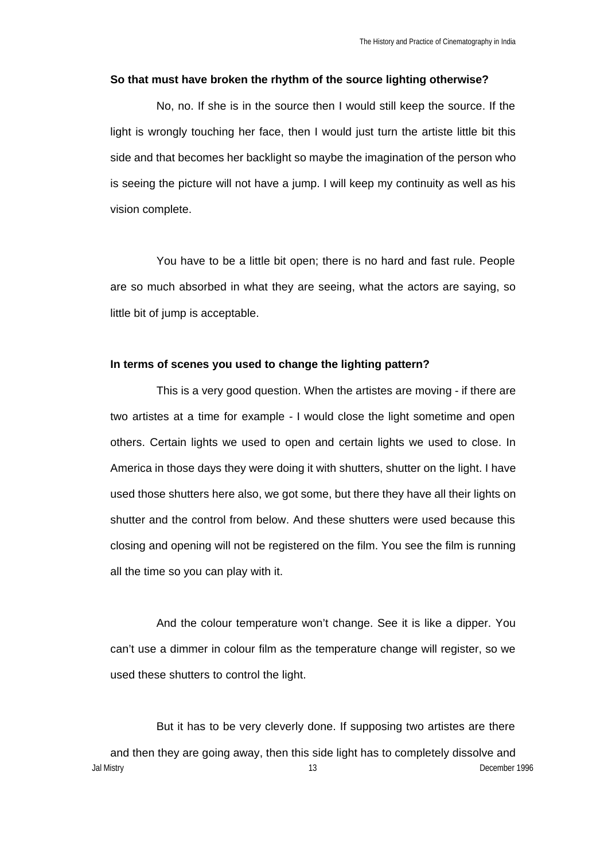#### **So that must have broken the rhythm of the source lighting otherwise?**

No, no. If she is in the source then I would still keep the source. If the light is wrongly touching her face, then I would just turn the artiste little bit this side and that becomes her backlight so maybe the imagination of the person who is seeing the picture will not have a jump. I will keep my continuity as well as his vision complete.

You have to be a little bit open; there is no hard and fast rule. People are so much absorbed in what they are seeing, what the actors are saying, so little bit of jump is acceptable.

#### **In terms of scenes you used to change the lighting pattern?**

This is a very good question. When the artistes are moving - if there are two artistes at a time for example - I would close the light sometime and open others. Certain lights we used to open and certain lights we used to close. In America in those days they were doing it with shutters, shutter on the light. I have used those shutters here also, we got some, but there they have all their lights on shutter and the control from below. And these shutters were used because this closing and opening will not be registered on the film. You see the film is running all the time so you can play with it.

And the colour temperature won't change. See it is like a dipper. You can't use a dimmer in colour film as the temperature change will register, so we used these shutters to control the light.

Jal Mistry 13 December 1996 But it has to be very cleverly done. If supposing two artistes are there and then they are going away, then this side light has to completely dissolve and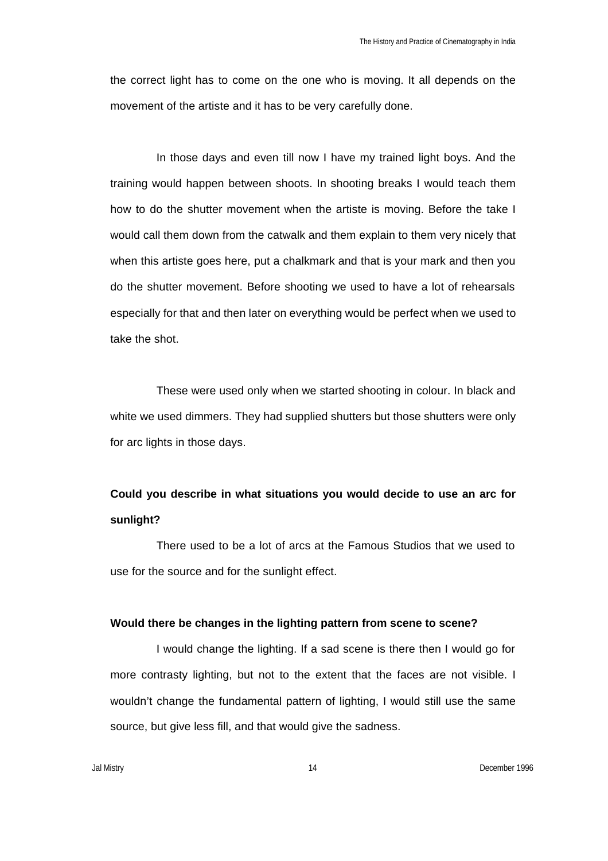the correct light has to come on the one who is moving. It all depends on the movement of the artiste and it has to be very carefully done.

In those days and even till now I have my trained light boys. And the training would happen between shoots. In shooting breaks I would teach them how to do the shutter movement when the artiste is moving. Before the take I would call them down from the catwalk and them explain to them very nicely that when this artiste goes here, put a chalkmark and that is your mark and then you do the shutter movement. Before shooting we used to have a lot of rehearsals especially for that and then later on everything would be perfect when we used to take the shot.

These were used only when we started shooting in colour. In black and white we used dimmers. They had supplied shutters but those shutters were only for arc lights in those days.

# **Could you describe in what situations you would decide to use an arc for sunlight?**

There used to be a lot of arcs at the Famous Studios that we used to use for the source and for the sunlight effect.

## **Would there be changes in the lighting pattern from scene to scene?**

I would change the lighting. If a sad scene is there then I would go for more contrasty lighting, but not to the extent that the faces are not visible. I wouldn't change the fundamental pattern of lighting, I would still use the same source, but give less fill, and that would give the sadness.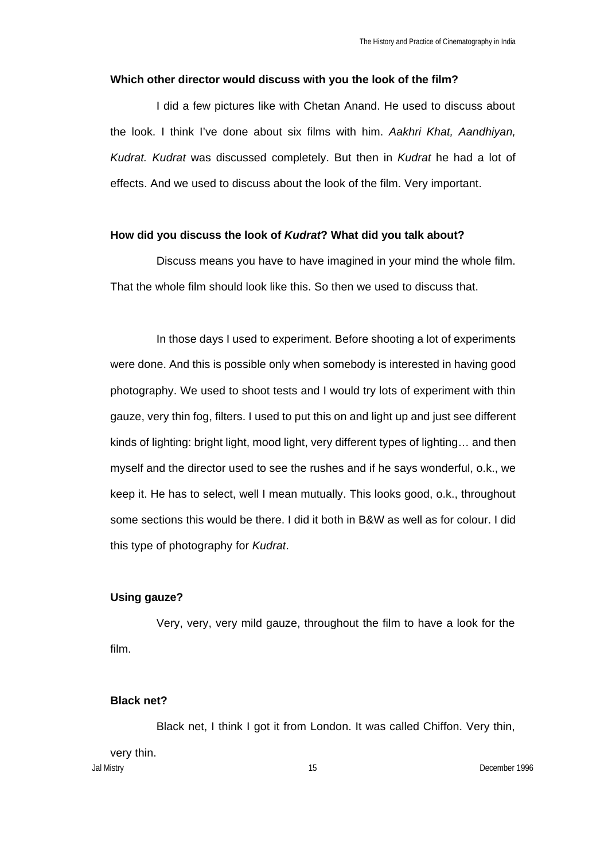#### **Which other director would discuss with you the look of the film?**

I did a few pictures like with Chetan Anand. He used to discuss about the look. I think I've done about six films with him. *Aakhri Khat, Aandhiyan, Kudrat. Kudrat* was discussed completely. But then in *Kudrat* he had a lot of effects. And we used to discuss about the look of the film. Very important.

### **How did you discuss the look of** *Kudrat***? What did you talk about?**

Discuss means you have to have imagined in your mind the whole film. That the whole film should look like this. So then we used to discuss that.

In those days I used to experiment. Before shooting a lot of experiments were done. And this is possible only when somebody is interested in having good photography. We used to shoot tests and I would try lots of experiment with thin gauze, very thin fog, filters. I used to put this on and light up and just see different kinds of lighting: bright light, mood light, very different types of lighting… and then myself and the director used to see the rushes and if he says wonderful, o.k., we keep it. He has to select, well I mean mutually. This looks good, o.k., throughout some sections this would be there. I did it both in B&W as well as for colour. I did this type of photography for *Kudrat*.

## **Using gauze?**

Very, very, very mild gauze, throughout the film to have a look for the film.

## **Black net?**

Jal Mistry 15 December 1996 Black net, I think I got it from London. It was called Chiffon. Very thin, very thin.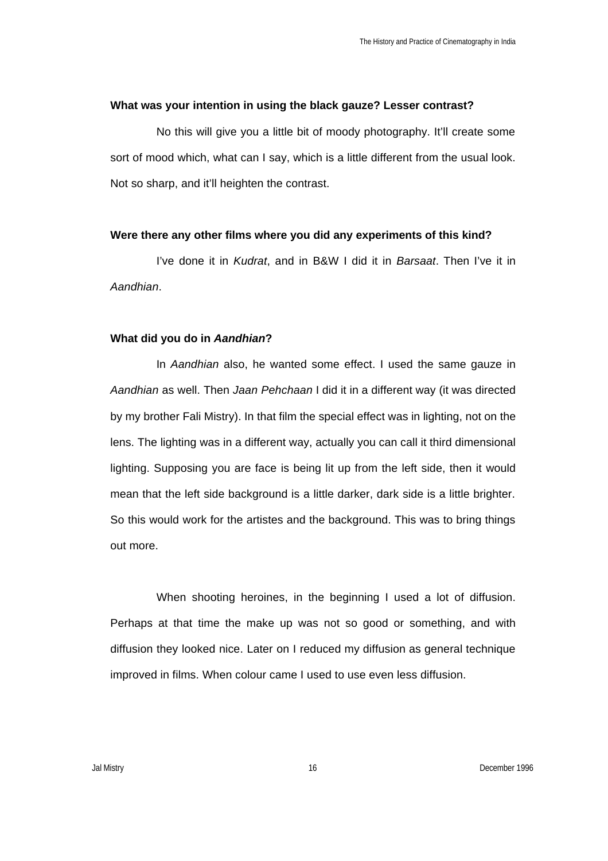#### **What was your intention in using the black gauze? Lesser contrast?**

No this will give you a little bit of moody photography. It'll create some sort of mood which, what can I say, which is a little different from the usual look. Not so sharp, and it'll heighten the contrast.

#### **Were there any other films where you did any experiments of this kind?**

I've done it in *Kudrat*, and in B&W I did it in *Barsaat*. Then I've it in *Aandhian*.

#### **What did you do in** *Aandhian***?**

In *Aandhian* also, he wanted some effect. I used the same gauze in *Aandhian* as well. Then *Jaan Pehchaan* I did it in a different way (it was directed by my brother Fali Mistry). In that film the special effect was in lighting, not on the lens. The lighting was in a different way, actually you can call it third dimensional lighting. Supposing you are face is being lit up from the left side, then it would mean that the left side background is a little darker, dark side is a little brighter. So this would work for the artistes and the background. This was to bring things out more.

When shooting heroines, in the beginning I used a lot of diffusion. Perhaps at that time the make up was not so good or something, and with diffusion they looked nice. Later on I reduced my diffusion as general technique improved in films. When colour came I used to use even less diffusion.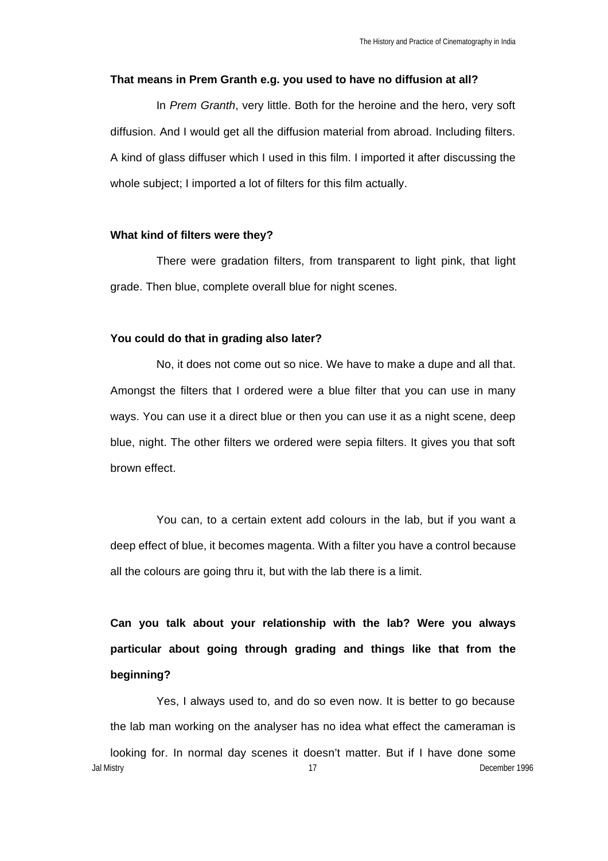#### **That means in Prem Granth e.g. you used to have no diffusion at all?**

In *Prem Granth*, very little. Both for the heroine and the hero, very soft diffusion. And I would get all the diffusion material from abroad. Including filters. A kind of glass diffuser which I used in this film. I imported it after discussing the whole subject; I imported a lot of filters for this film actually.

#### **What kind of filters were they?**

There were gradation filters, from transparent to light pink, that light grade. Then blue, complete overall blue for night scenes.

### **You could do that in grading also later?**

No, it does not come out so nice. We have to make a dupe and all that. Amongst the filters that I ordered were a blue filter that you can use in many ways. You can use it a direct blue or then you can use it as a night scene, deep blue, night. The other filters we ordered were sepia filters. It gives you that soft brown effect.

You can, to a certain extent add colours in the lab, but if you want a deep effect of blue, it becomes magenta. With a filter you have a control because all the colours are going thru it, but with the lab there is a limit.

**Can you talk about your relationship with the lab? Were you always particular about going through grading and things like that from the beginning?**

Jal Mistry 17 December 1996 Yes, I always used to, and do so even now. It is better to go because the lab man working on the analyser has no idea what effect the cameraman is looking for. In normal day scenes it doesn't matter. But if I have done some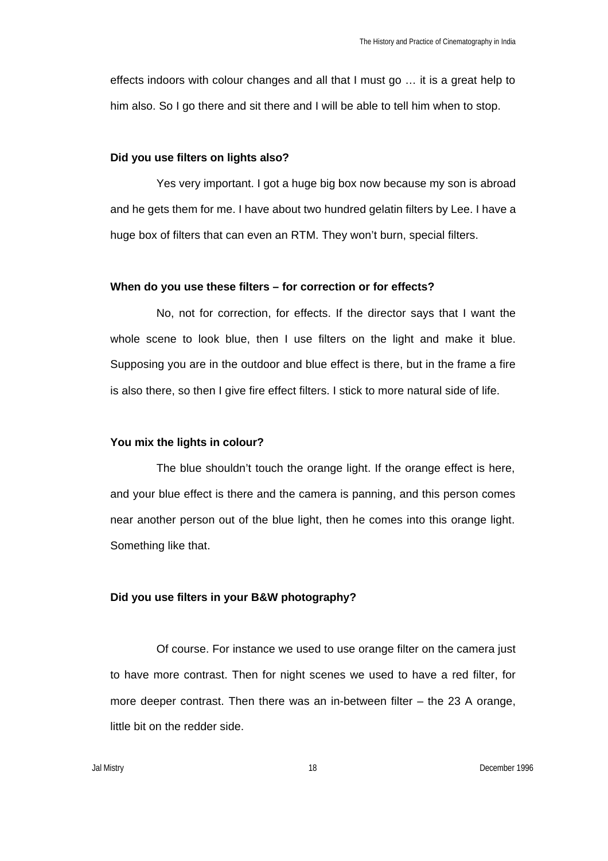effects indoors with colour changes and all that I must go … it is a great help to him also. So I go there and sit there and I will be able to tell him when to stop.

### **Did you use filters on lights also?**

Yes very important. I got a huge big box now because my son is abroad and he gets them for me. I have about two hundred gelatin filters by Lee. I have a huge box of filters that can even an RTM. They won't burn, special filters.

### **When do you use these filters – for correction or for effects?**

No, not for correction, for effects. If the director says that I want the whole scene to look blue, then I use filters on the light and make it blue. Supposing you are in the outdoor and blue effect is there, but in the frame a fire is also there, so then I give fire effect filters. I stick to more natural side of life.

#### **You mix the lights in colour?**

The blue shouldn't touch the orange light. If the orange effect is here, and your blue effect is there and the camera is panning, and this person comes near another person out of the blue light, then he comes into this orange light. Something like that.

### **Did you use filters in your B&W photography?**

Of course. For instance we used to use orange filter on the camera just to have more contrast. Then for night scenes we used to have a red filter, for more deeper contrast. Then there was an in-between filter – the 23 A orange, little bit on the redder side.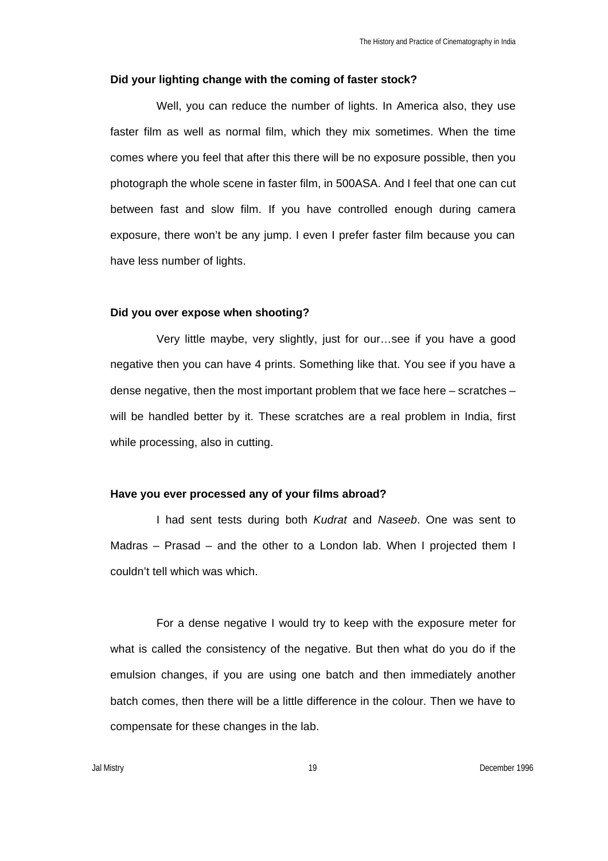#### **Did your lighting change with the coming of faster stock?**

Well, you can reduce the number of lights. In America also, they use faster film as well as normal film, which they mix sometimes. When the time comes where you feel that after this there will be no exposure possible, then you photograph the whole scene in faster film, in 500ASA. And I feel that one can cut between fast and slow film. If you have controlled enough during camera exposure, there won't be any jump. I even I prefer faster film because you can have less number of lights.

#### **Did you over expose when shooting?**

Very little maybe, very slightly, just for our…see if you have a good negative then you can have 4 prints. Something like that. You see if you have a dense negative, then the most important problem that we face here – scratches – will be handled better by it. These scratches are a real problem in India, first while processing, also in cutting.

#### **Have you ever processed any of your films abroad?**

I had sent tests during both *Kudrat* and *Naseeb*. One was sent to Madras – Prasad – and the other to a London lab. When I projected them I couldn't tell which was which.

For a dense negative I would try to keep with the exposure meter for what is called the consistency of the negative. But then what do you do if the emulsion changes, if you are using one batch and then immediately another batch comes, then there will be a little difference in the colour. Then we have to compensate for these changes in the lab.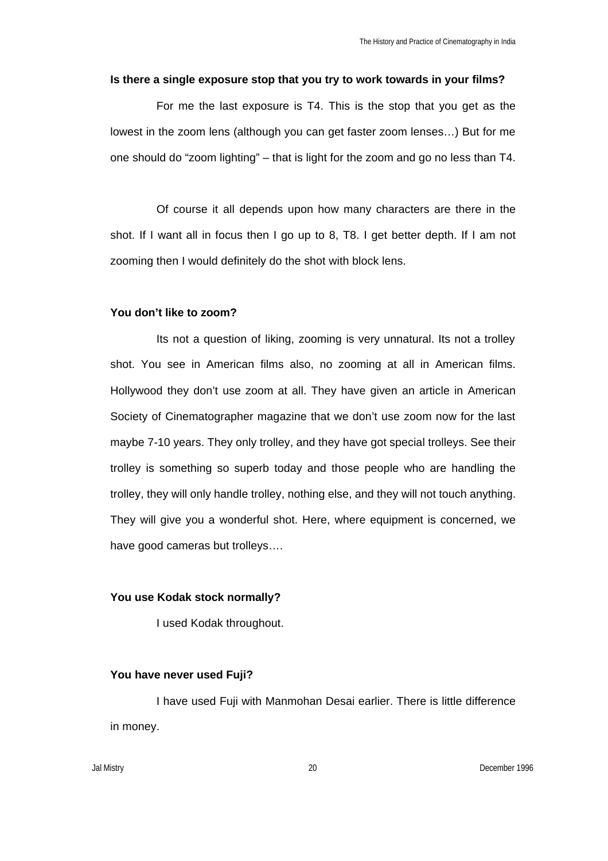#### **Is there a single exposure stop that you try to work towards in your films?**

For me the last exposure is T4. This is the stop that you get as the lowest in the zoom lens (although you can get faster zoom lenses…) But for me one should do "zoom lighting" – that is light for the zoom and go no less than T4.

Of course it all depends upon how many characters are there in the shot. If I want all in focus then I go up to 8, T8. I get better depth. If I am not zooming then I would definitely do the shot with block lens.

#### **You don't like to zoom?**

Its not a question of liking, zooming is very unnatural. Its not a trolley shot. You see in American films also, no zooming at all in American films. Hollywood they don't use zoom at all. They have given an article in American Society of Cinematographer magazine that we don't use zoom now for the last maybe 7-10 years. They only trolley, and they have got special trolleys. See their trolley is something so superb today and those people who are handling the trolley, they will only handle trolley, nothing else, and they will not touch anything. They will give you a wonderful shot. Here, where equipment is concerned, we have good cameras but trolleys….

### **You use Kodak stock normally?**

I used Kodak throughout.

#### **You have never used Fuji?**

I have used Fuji with Manmohan Desai earlier. There is little difference in money.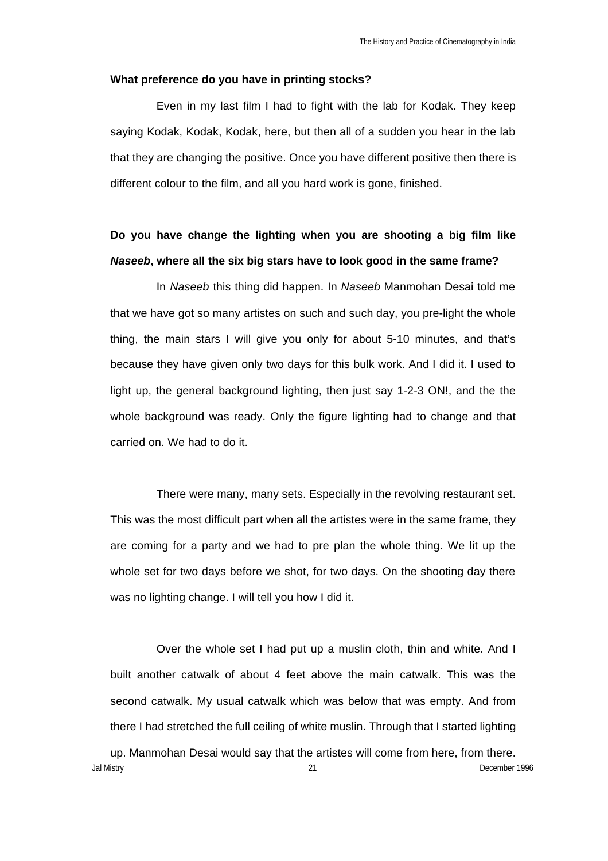#### **What preference do you have in printing stocks?**

Even in my last film I had to fight with the lab for Kodak. They keep saying Kodak, Kodak, Kodak, here, but then all of a sudden you hear in the lab that they are changing the positive. Once you have different positive then there is different colour to the film, and all you hard work is gone, finished.

# **Do you have change the lighting when you are shooting a big film like** *Naseeb***, where all the six big stars have to look good in the same frame?**

In *Naseeb* this thing did happen. In *Naseeb* Manmohan Desai told me that we have got so many artistes on such and such day, you pre-light the whole thing, the main stars I will give you only for about 5-10 minutes, and that's because they have given only two days for this bulk work. And I did it. I used to light up, the general background lighting, then just say 1-2-3 ON!, and the the whole background was ready. Only the figure lighting had to change and that carried on. We had to do it.

There were many, many sets. Especially in the revolving restaurant set. This was the most difficult part when all the artistes were in the same frame, they are coming for a party and we had to pre plan the whole thing. We lit up the whole set for two days before we shot, for two days. On the shooting day there was no lighting change. I will tell you how I did it.

Over the whole set I had put up a muslin cloth, thin and white. And I built another catwalk of about 4 feet above the main catwalk. This was the second catwalk. My usual catwalk which was below that was empty. And from there I had stretched the full ceiling of white muslin. Through that I started lighting

Jal Mistry 21 December 1996 up. Manmohan Desai would say that the artistes will come from here, from there.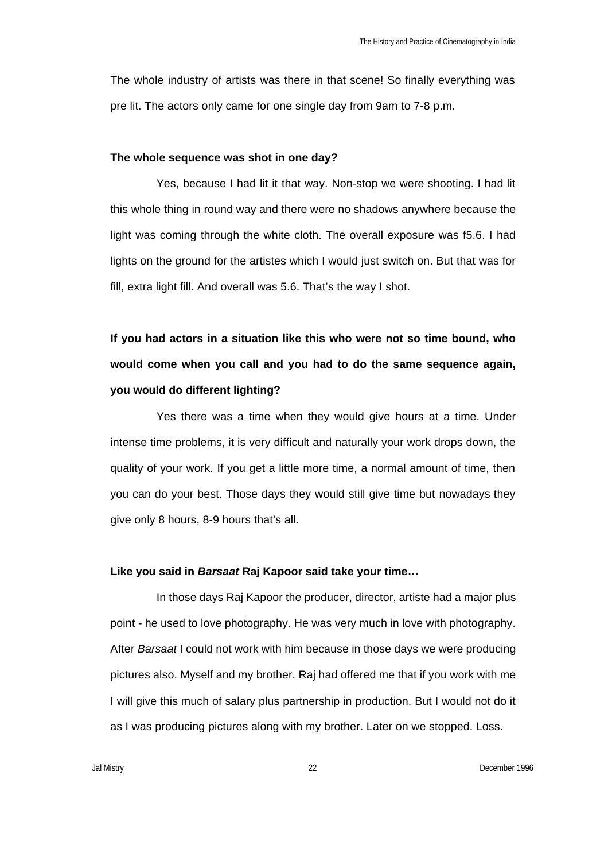The whole industry of artists was there in that scene! So finally everything was pre lit. The actors only came for one single day from 9am to 7-8 p.m.

#### **The whole sequence was shot in one day?**

Yes, because I had lit it that way. Non-stop we were shooting. I had lit this whole thing in round way and there were no shadows anywhere because the light was coming through the white cloth. The overall exposure was f5.6. I had lights on the ground for the artistes which I would just switch on. But that was for fill, extra light fill. And overall was 5.6. That's the way I shot.

**If you had actors in a situation like this who were not so time bound, who would come when you call and you had to do the same sequence again, you would do different lighting?**

Yes there was a time when they would give hours at a time. Under intense time problems, it is very difficult and naturally your work drops down, the quality of your work. If you get a little more time, a normal amount of time, then you can do your best. Those days they would still give time but nowadays they give only 8 hours, 8-9 hours that's all.

#### **Like you said in** *Barsaat* **Raj Kapoor said take your time…**

In those days Raj Kapoor the producer, director, artiste had a major plus point - he used to love photography. He was very much in love with photography. After *Barsaat* I could not work with him because in those days we were producing pictures also. Myself and my brother. Raj had offered me that if you work with me I will give this much of salary plus partnership in production. But I would not do it as I was producing pictures along with my brother. Later on we stopped. Loss.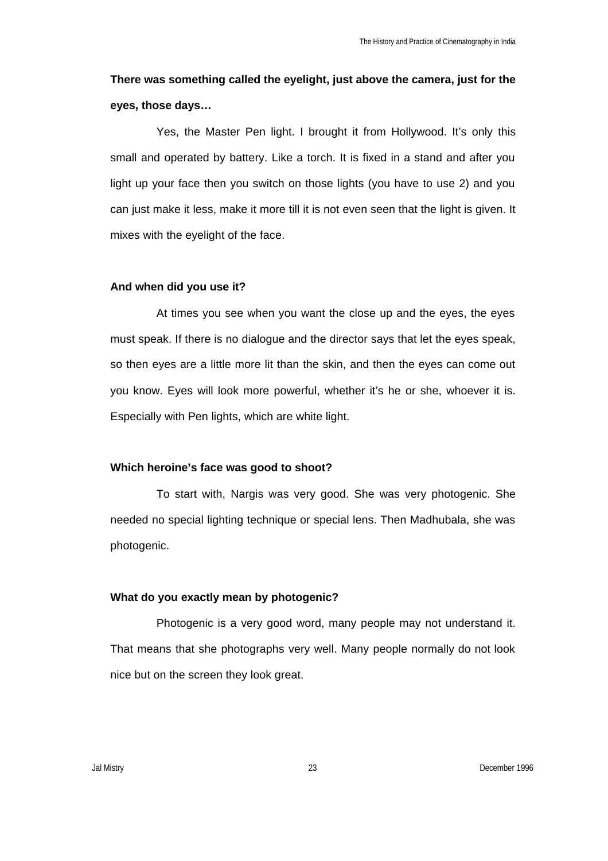# **There was something called the eyelight, just above the camera, just for the eyes, those days…**

Yes, the Master Pen light. I brought it from Hollywood. It's only this small and operated by battery. Like a torch. It is fixed in a stand and after you light up your face then you switch on those lights (you have to use 2) and you can just make it less, make it more till it is not even seen that the light is given. It mixes with the eyelight of the face.

### **And when did you use it?**

At times you see when you want the close up and the eyes, the eyes must speak. If there is no dialogue and the director says that let the eyes speak, so then eyes are a little more lit than the skin, and then the eyes can come out you know. Eyes will look more powerful, whether it's he or she, whoever it is. Especially with Pen lights, which are white light.

### **Which heroine's face was good to shoot?**

To start with, Nargis was very good. She was very photogenic. She needed no special lighting technique or special lens. Then Madhubala, she was photogenic.

### **What do you exactly mean by photogenic?**

Photogenic is a very good word, many people may not understand it. That means that she photographs very well. Many people normally do not look nice but on the screen they look great.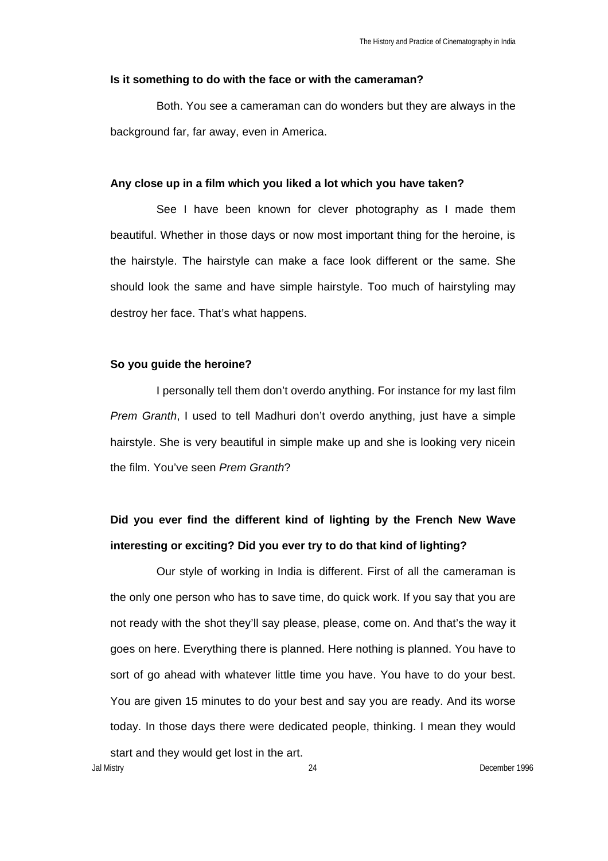#### **Is it something to do with the face or with the cameraman?**

Both. You see a cameraman can do wonders but they are always in the background far, far away, even in America.

#### **Any close up in a film which you liked a lot which you have taken?**

See I have been known for clever photography as I made them beautiful. Whether in those days or now most important thing for the heroine, is the hairstyle. The hairstyle can make a face look different or the same. She should look the same and have simple hairstyle. Too much of hairstyling may destroy her face. That's what happens.

#### **So you guide the heroine?**

I personally tell them don't overdo anything. For instance for my last film *Prem Granth*, I used to tell Madhuri don't overdo anything, just have a simple hairstyle. She is very beautiful in simple make up and she is looking very nicein the film. You've seen *Prem Granth*?

# **Did you ever find the different kind of lighting by the French New Wave interesting or exciting? Did you ever try to do that kind of lighting?**

Our style of working in India is different. First of all the cameraman is the only one person who has to save time, do quick work. If you say that you are not ready with the shot they'll say please, please, come on. And that's the way it goes on here. Everything there is planned. Here nothing is planned. You have to sort of go ahead with whatever little time you have. You have to do your best. You are given 15 minutes to do your best and say you are ready. And its worse today. In those days there were dedicated people, thinking. I mean they would start and they would get lost in the art.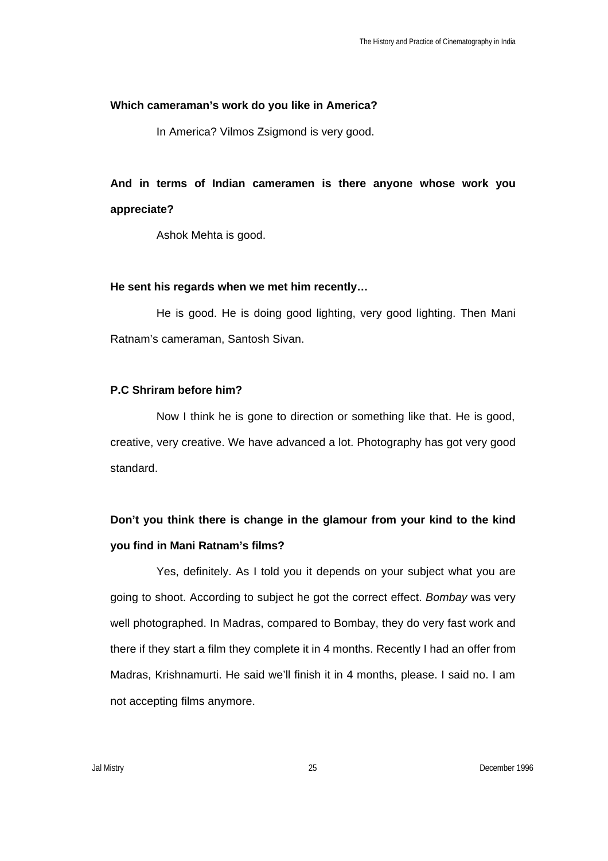### **Which cameraman's work do you like in America?**

In America? Vilmos Zsigmond is very good.

**And in terms of Indian cameramen is there anyone whose work you appreciate?** 

Ashok Mehta is good.

## **He sent his regards when we met him recently…**

He is good. He is doing good lighting, very good lighting. Then Mani Ratnam's cameraman, Santosh Sivan.

## **P.C Shriram before him?**

Now I think he is gone to direction or something like that. He is good, creative, very creative. We have advanced a lot. Photography has got very good standard.

# **Don't you think there is change in the glamour from your kind to the kind you find in Mani Ratnam's films?**

Yes, definitely. As I told you it depends on your subject what you are going to shoot. According to subject he got the correct effect. *Bombay* was very well photographed. In Madras, compared to Bombay, they do very fast work and there if they start a film they complete it in 4 months. Recently I had an offer from Madras, Krishnamurti. He said we'll finish it in 4 months, please. I said no. I am not accepting films anymore.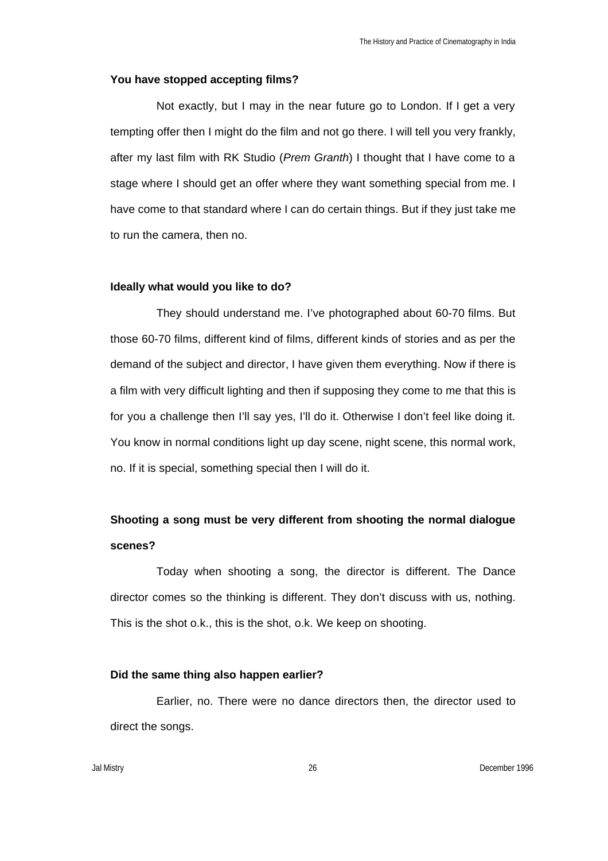## **You have stopped accepting films?**

Not exactly, but I may in the near future go to London. If I get a very tempting offer then I might do the film and not go there. I will tell you very frankly, after my last film with RK Studio (*Prem Granth*) I thought that I have come to a stage where I should get an offer where they want something special from me. I have come to that standard where I can do certain things. But if they just take me to run the camera, then no.

### **Ideally what would you like to do?**

They should understand me. I've photographed about 60-70 films. But those 60-70 films, different kind of films, different kinds of stories and as per the demand of the subject and director, I have given them everything. Now if there is a film with very difficult lighting and then if supposing they come to me that this is for you a challenge then I'll say yes, I'll do it. Otherwise I don't feel like doing it. You know in normal conditions light up day scene, night scene, this normal work, no. If it is special, something special then I will do it.

## **Shooting a song must be very different from shooting the normal dialogue scenes?**

Today when shooting a song, the director is different. The Dance director comes so the thinking is different. They don't discuss with us, nothing. This is the shot o.k., this is the shot, o.k. We keep on shooting.

#### **Did the same thing also happen earlier?**

Earlier, no. There were no dance directors then, the director used to direct the songs.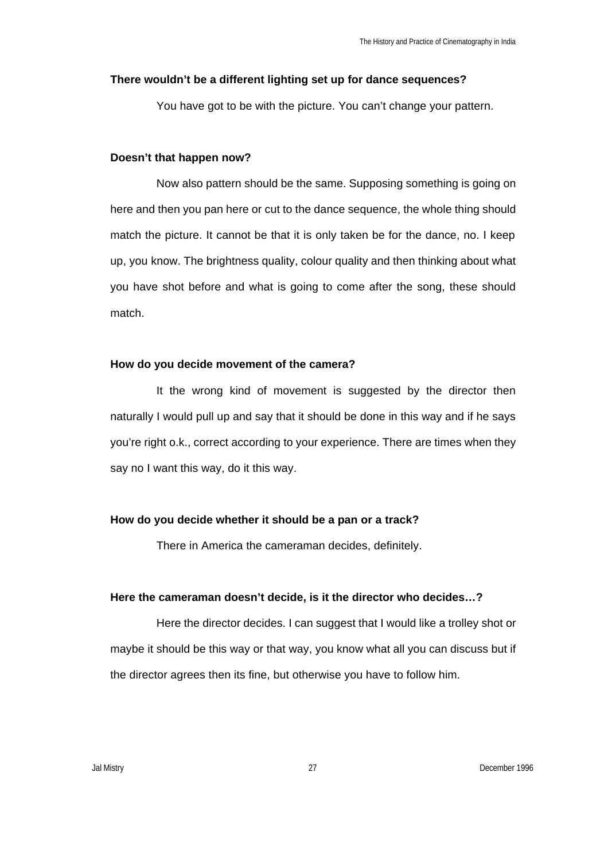#### **There wouldn't be a different lighting set up for dance sequences?**

You have got to be with the picture. You can't change your pattern.

### **Doesn't that happen now?**

Now also pattern should be the same. Supposing something is going on here and then you pan here or cut to the dance sequence, the whole thing should match the picture. It cannot be that it is only taken be for the dance, no. I keep up, you know. The brightness quality, colour quality and then thinking about what you have shot before and what is going to come after the song, these should match.

### **How do you decide movement of the camera?**

It the wrong kind of movement is suggested by the director then naturally I would pull up and say that it should be done in this way and if he says you're right o.k., correct according to your experience. There are times when they say no I want this way, do it this way.

## **How do you decide whether it should be a pan or a track?**

There in America the cameraman decides, definitely.

## **Here the cameraman doesn't decide, is it the director who decides…?**

Here the director decides. I can suggest that I would like a trolley shot or maybe it should be this way or that way, you know what all you can discuss but if the director agrees then its fine, but otherwise you have to follow him.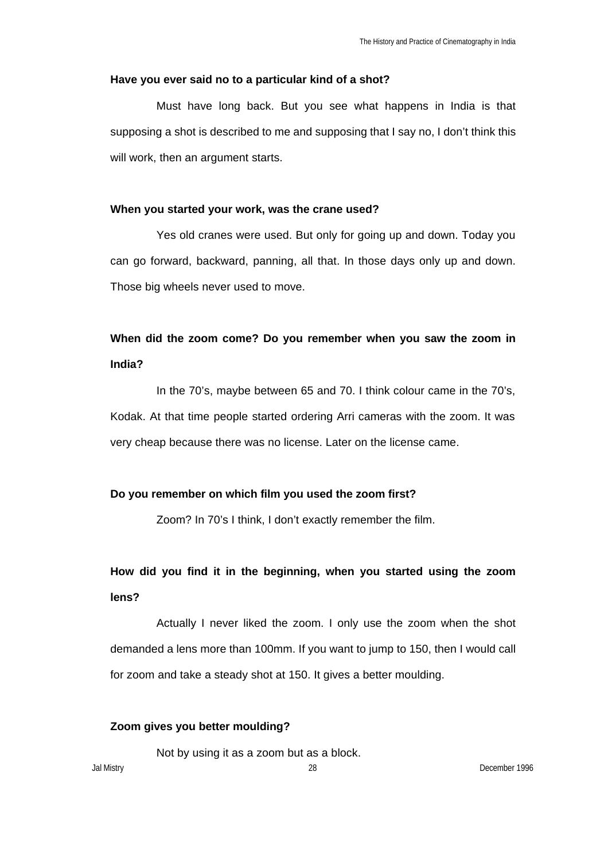### **Have you ever said no to a particular kind of a shot?**

Must have long back. But you see what happens in India is that supposing a shot is described to me and supposing that I say no, I don't think this will work, then an argument starts.

### **When you started your work, was the crane used?**

Yes old cranes were used. But only for going up and down. Today you can go forward, backward, panning, all that. In those days only up and down. Those big wheels never used to move.

## **When did the zoom come? Do you remember when you saw the zoom in India?**

In the 70's, maybe between 65 and 70. I think colour came in the 70's, Kodak. At that time people started ordering Arri cameras with the zoom. It was very cheap because there was no license. Later on the license came.

## **Do you remember on which film you used the zoom first?**

Zoom? In 70's I think, I don't exactly remember the film.

**How did you find it in the beginning, when you started using the zoom lens?**

Actually I never liked the zoom. I only use the zoom when the shot demanded a lens more than 100mm. If you want to jump to 150, then I would call for zoom and take a steady shot at 150. It gives a better moulding.

## **Zoom gives you better moulding?**

Not by using it as a zoom but as a block.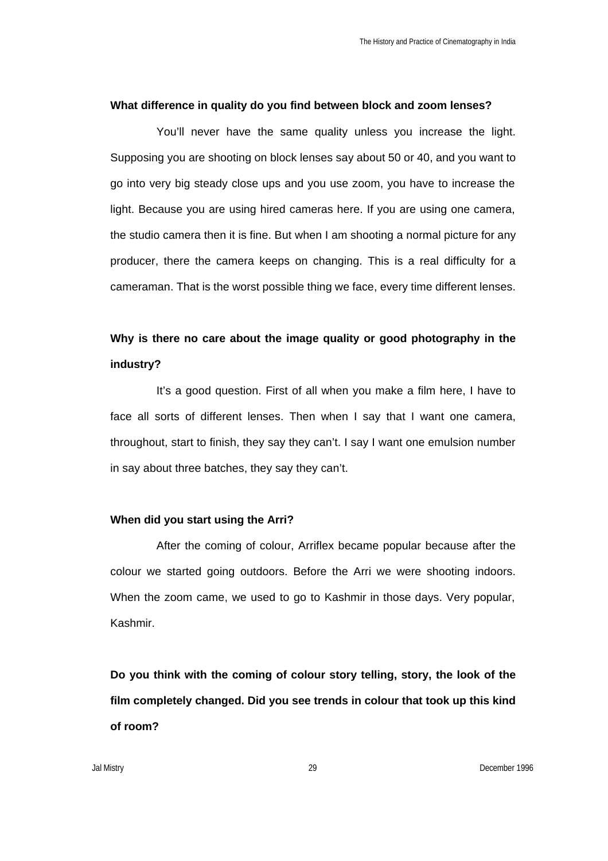#### **What difference in quality do you find between block and zoom lenses?**

You'll never have the same quality unless you increase the light. Supposing you are shooting on block lenses say about 50 or 40, and you want to go into very big steady close ups and you use zoom, you have to increase the light. Because you are using hired cameras here. If you are using one camera, the studio camera then it is fine. But when I am shooting a normal picture for any producer, there the camera keeps on changing. This is a real difficulty for a cameraman. That is the worst possible thing we face, every time different lenses.

## **Why is there no care about the image quality or good photography in the industry?**

It's a good question. First of all when you make a film here, I have to face all sorts of different lenses. Then when I say that I want one camera, throughout, start to finish, they say they can't. I say I want one emulsion number in say about three batches, they say they can't.

## **When did you start using the Arri?**

After the coming of colour, Arriflex became popular because after the colour we started going outdoors. Before the Arri we were shooting indoors. When the zoom came, we used to go to Kashmir in those days. Very popular, Kashmir.

**Do you think with the coming of colour story telling, story, the look of the film completely changed. Did you see trends in colour that took up this kind of room?**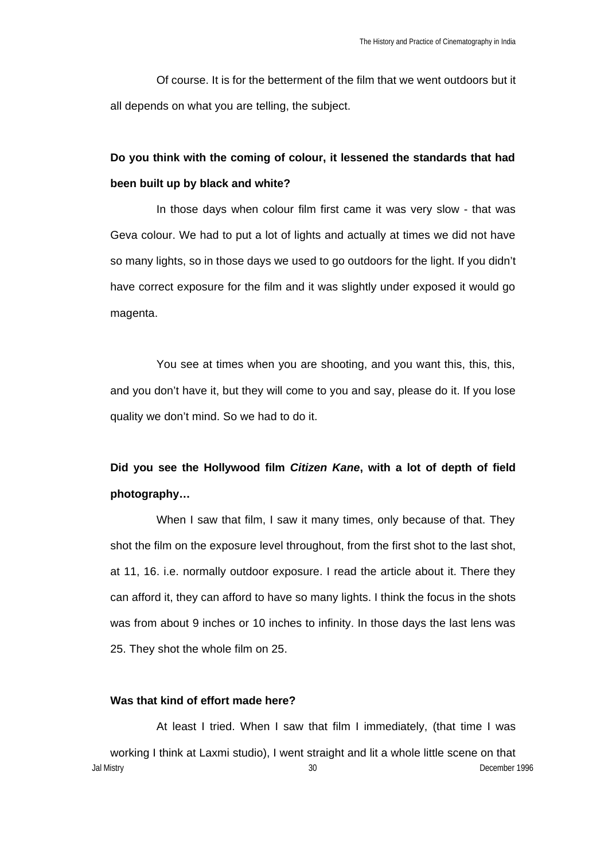Of course. It is for the betterment of the film that we went outdoors but it all depends on what you are telling, the subject.

# **Do you think with the coming of colour, it lessened the standards that had been built up by black and white?**

In those days when colour film first came it was very slow - that was Geva colour. We had to put a lot of lights and actually at times we did not have so many lights, so in those days we used to go outdoors for the light. If you didn't have correct exposure for the film and it was slightly under exposed it would go magenta.

You see at times when you are shooting, and you want this, this, this, and you don't have it, but they will come to you and say, please do it. If you lose quality we don't mind. So we had to do it.

# **Did you see the Hollywood film** *Citizen Kane***, with a lot of depth of field photography…**

When I saw that film, I saw it many times, only because of that. They shot the film on the exposure level throughout, from the first shot to the last shot, at 11, 16. i.e. normally outdoor exposure. I read the article about it. There they can afford it, they can afford to have so many lights. I think the focus in the shots was from about 9 inches or 10 inches to infinity. In those days the last lens was 25. They shot the whole film on 25.

### **Was that kind of effort made here?**

Jal Mistry 30 December 1996 At least I tried. When I saw that film I immediately, (that time I was working I think at Laxmi studio), I went straight and lit a whole little scene on that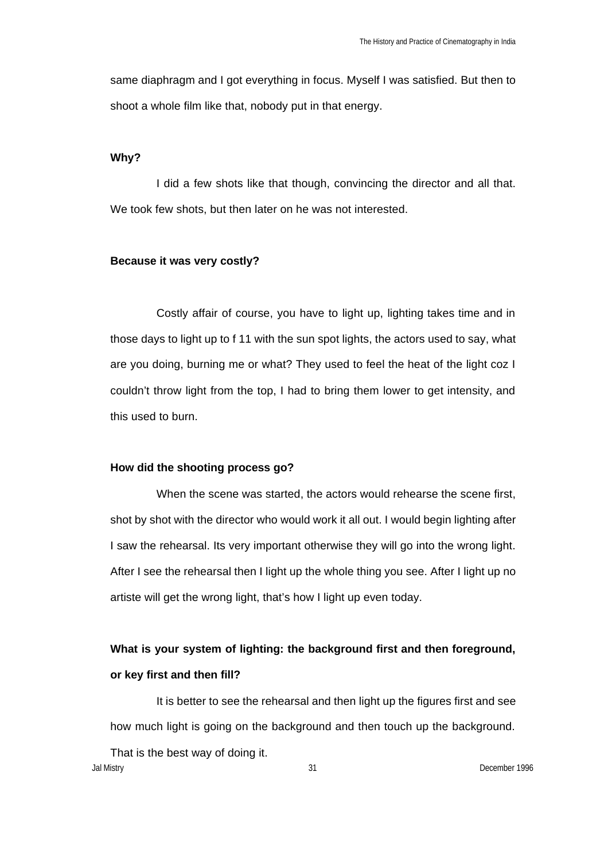same diaphragm and I got everything in focus. Myself I was satisfied. But then to shoot a whole film like that, nobody put in that energy.

## **Why?**

I did a few shots like that though, convincing the director and all that. We took few shots, but then later on he was not interested.

#### **Because it was very costly?**

Costly affair of course, you have to light up, lighting takes time and in those days to light up to f 11 with the sun spot lights, the actors used to say, what are you doing, burning me or what? They used to feel the heat of the light coz I couldn't throw light from the top, I had to bring them lower to get intensity, and this used to burn.

## **How did the shooting process go?**

When the scene was started, the actors would rehearse the scene first, shot by shot with the director who would work it all out. I would begin lighting after I saw the rehearsal. Its very important otherwise they will go into the wrong light. After I see the rehearsal then I light up the whole thing you see. After I light up no artiste will get the wrong light, that's how I light up even today.

# **What is your system of lighting: the background first and then foreground, or key first and then fill?**

It is better to see the rehearsal and then light up the figures first and see how much light is going on the background and then touch up the background.

Jal Mistry 31 December 1996 That is the best way of doing it.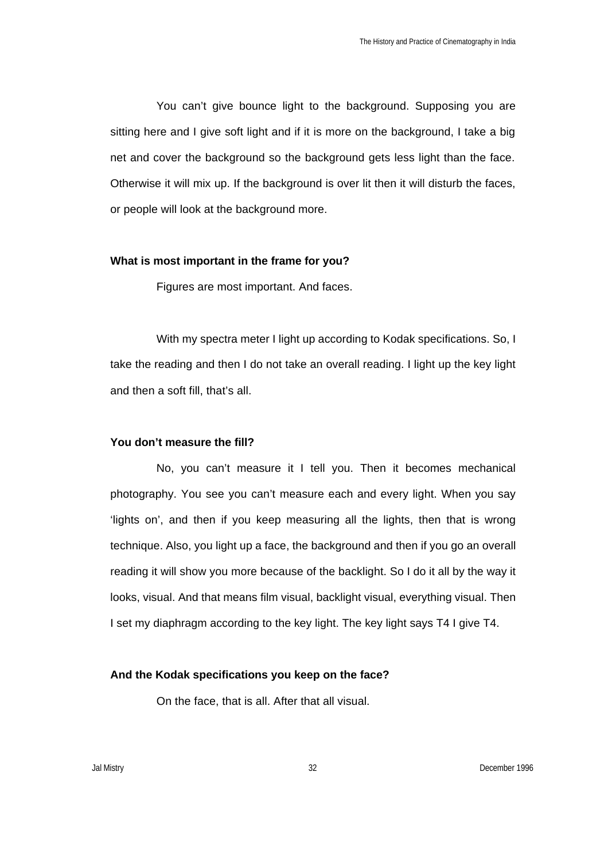You can't give bounce light to the background. Supposing you are sitting here and I give soft light and if it is more on the background, I take a big net and cover the background so the background gets less light than the face. Otherwise it will mix up. If the background is over lit then it will disturb the faces, or people will look at the background more.

#### **What is most important in the frame for you?**

Figures are most important. And faces.

With my spectra meter I light up according to Kodak specifications. So, I take the reading and then I do not take an overall reading. I light up the key light and then a soft fill, that's all.

## **You don't measure the fill?**

No, you can't measure it I tell you. Then it becomes mechanical photography. You see you can't measure each and every light. When you say 'lights on', and then if you keep measuring all the lights, then that is wrong technique. Also, you light up a face, the background and then if you go an overall reading it will show you more because of the backlight. So I do it all by the way it looks, visual. And that means film visual, backlight visual, everything visual. Then I set my diaphragm according to the key light. The key light says T4 I give T4.

#### **And the Kodak specifications you keep on the face?**

On the face, that is all. After that all visual.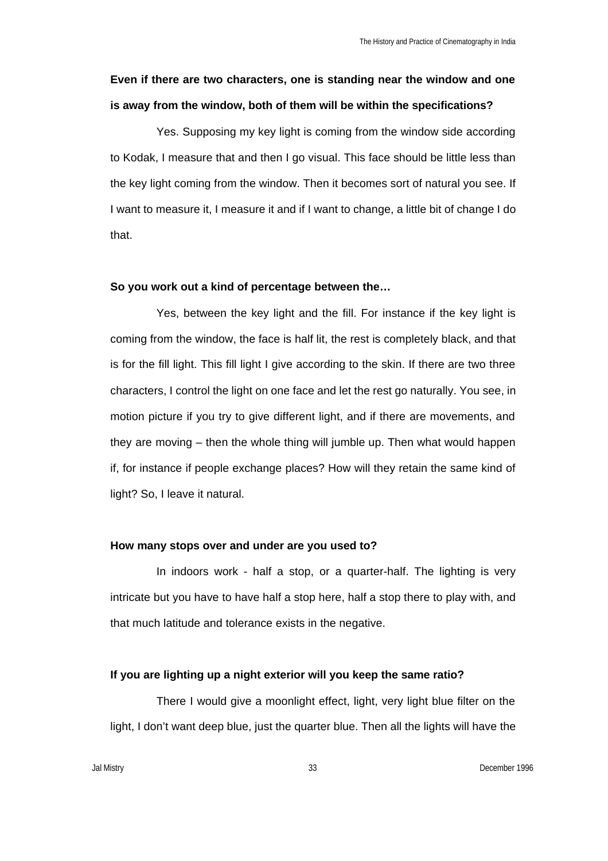# **Even if there are two characters, one is standing near the window and one is away from the window, both of them will be within the specifications?**

Yes. Supposing my key light is coming from the window side according to Kodak, I measure that and then I go visual. This face should be little less than the key light coming from the window. Then it becomes sort of natural you see. If I want to measure it, I measure it and if I want to change, a little bit of change I do that.

## **So you work out a kind of percentage between the…**

Yes, between the key light and the fill. For instance if the key light is coming from the window, the face is half lit, the rest is completely black, and that is for the fill light. This fill light I give according to the skin. If there are two three characters, I control the light on one face and let the rest go naturally. You see, in motion picture if you try to give different light, and if there are movements, and they are moving – then the whole thing will jumble up. Then what would happen if, for instance if people exchange places? How will they retain the same kind of light? So, I leave it natural.

#### **How many stops over and under are you used to?**

In indoors work - half a stop, or a quarter-half. The lighting is very intricate but you have to have half a stop here, half a stop there to play with, and that much latitude and tolerance exists in the negative.

### **If you are lighting up a night exterior will you keep the same ratio?**

There I would give a moonlight effect, light, very light blue filter on the light, I don't want deep blue, just the quarter blue. Then all the lights will have the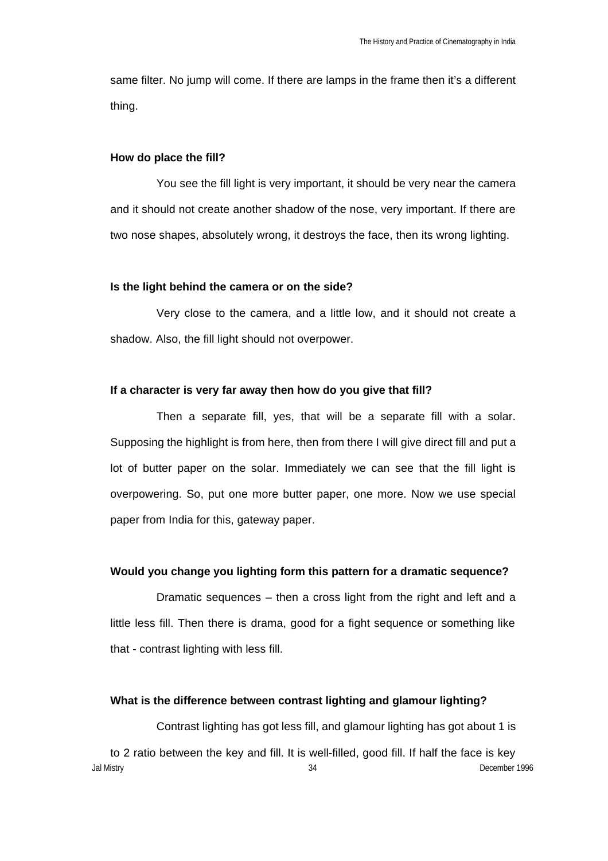same filter. No jump will come. If there are lamps in the frame then it's a different thing.

### **How do place the fill?**

You see the fill light is very important, it should be very near the camera and it should not create another shadow of the nose, very important. If there are two nose shapes, absolutely wrong, it destroys the face, then its wrong lighting.

### **Is the light behind the camera or on the side?**

Very close to the camera, and a little low, and it should not create a shadow. Also, the fill light should not overpower.

## **If a character is very far away then how do you give that fill?**

Then a separate fill, yes, that will be a separate fill with a solar. Supposing the highlight is from here, then from there I will give direct fill and put a lot of butter paper on the solar. Immediately we can see that the fill light is overpowering. So, put one more butter paper, one more. Now we use special paper from India for this, gateway paper.

## **Would you change you lighting form this pattern for a dramatic sequence?**

Dramatic sequences – then a cross light from the right and left and a little less fill. Then there is drama, good for a fight sequence or something like that - contrast lighting with less fill.

### **What is the difference between contrast lighting and glamour lighting?**

Contrast lighting has got less fill, and glamour lighting has got about 1 is

Jal Mistry 34 December 1996 to 2 ratio between the key and fill. It is well-filled, good fill. If half the face is key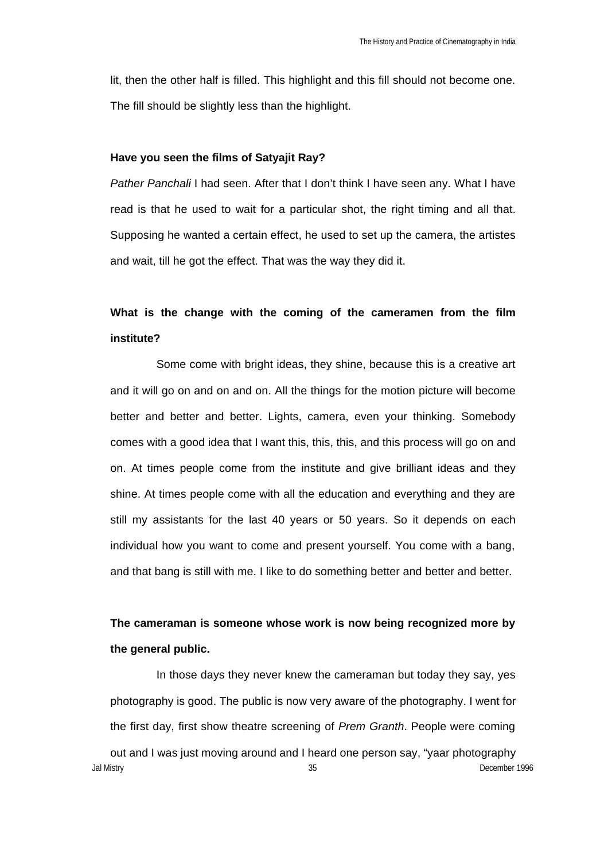lit, then the other half is filled. This highlight and this fill should not become one. The fill should be slightly less than the highlight.

#### **Have you seen the films of Satyajit Ray?**

*Pather Panchali* I had seen. After that I don't think I have seen any. What I have read is that he used to wait for a particular shot, the right timing and all that. Supposing he wanted a certain effect, he used to set up the camera, the artistes and wait, till he got the effect. That was the way they did it.

## **What is the change with the coming of the cameramen from the film institute?**

Some come with bright ideas, they shine, because this is a creative art and it will go on and on and on. All the things for the motion picture will become better and better and better. Lights, camera, even your thinking. Somebody comes with a good idea that I want this, this, this, and this process will go on and on. At times people come from the institute and give brilliant ideas and they shine. At times people come with all the education and everything and they are still my assistants for the last 40 years or 50 years. So it depends on each individual how you want to come and present yourself. You come with a bang, and that bang is still with me. I like to do something better and better and better.

# **The cameraman is someone whose work is now being recognized more by the general public.**

Jal Mistry 35 December 1996 In those days they never knew the cameraman but today they say, yes photography is good. The public is now very aware of the photography. I went for the first day, first show theatre screening of *Prem Granth*. People were coming out and I was just moving around and I heard one person say, "yaar photography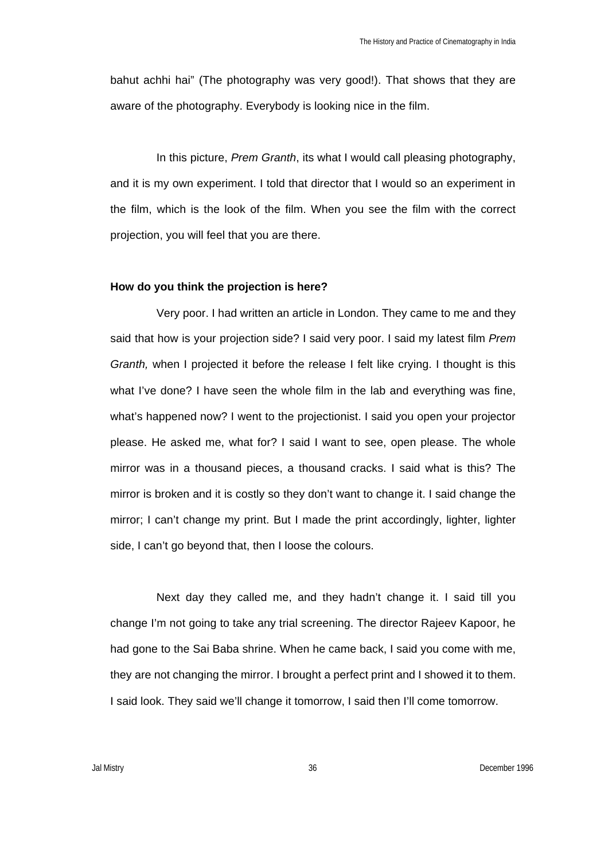bahut achhi hai" (The photography was very good!). That shows that they are aware of the photography. Everybody is looking nice in the film.

In this picture, *Prem Granth*, its what I would call pleasing photography, and it is my own experiment. I told that director that I would so an experiment in the film, which is the look of the film. When you see the film with the correct projection, you will feel that you are there.

### **How do you think the projection is here?**

Very poor. I had written an article in London. They came to me and they said that how is your projection side? I said very poor. I said my latest film *Prem Granth,* when I projected it before the release I felt like crying. I thought is this what I've done? I have seen the whole film in the lab and everything was fine, what's happened now? I went to the projectionist. I said you open your projector please. He asked me, what for? I said I want to see, open please. The whole mirror was in a thousand pieces, a thousand cracks. I said what is this? The mirror is broken and it is costly so they don't want to change it. I said change the mirror; I can't change my print. But I made the print accordingly, lighter, lighter side, I can't go beyond that, then I loose the colours.

Next day they called me, and they hadn't change it. I said till you change I'm not going to take any trial screening. The director Rajeev Kapoor, he had gone to the Sai Baba shrine. When he came back, I said you come with me, they are not changing the mirror. I brought a perfect print and I showed it to them. I said look. They said we'll change it tomorrow, I said then I'll come tomorrow.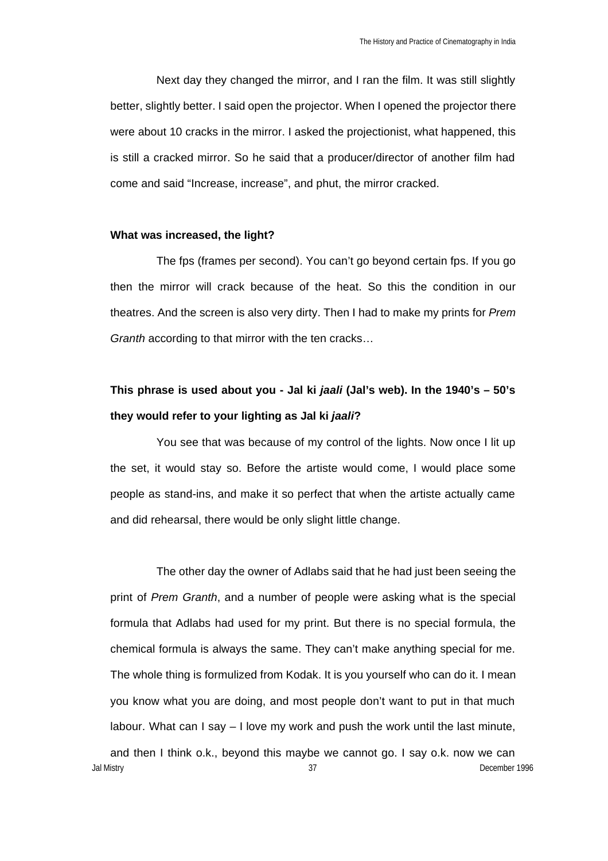Next day they changed the mirror, and I ran the film. It was still slightly better, slightly better. I said open the projector. When I opened the projector there were about 10 cracks in the mirror. I asked the projectionist, what happened, this is still a cracked mirror. So he said that a producer/director of another film had come and said "Increase, increase", and phut, the mirror cracked.

### **What was increased, the light?**

The fps (frames per second). You can't go beyond certain fps. If you go then the mirror will crack because of the heat. So this the condition in our theatres. And the screen is also very dirty. Then I had to make my prints for *Prem Granth* according to that mirror with the ten cracks…

# **This phrase is used about you - Jal ki** *jaali* **(Jal's web). In the 1940's – 50's they would refer to your lighting as Jal ki** *jaali***?**

You see that was because of my control of the lights. Now once I lit up the set, it would stay so. Before the artiste would come, I would place some people as stand-ins, and make it so perfect that when the artiste actually came and did rehearsal, there would be only slight little change.

Jal Mistry 37 December 1996 The other day the owner of Adlabs said that he had just been seeing the print of *Prem Granth*, and a number of people were asking what is the special formula that Adlabs had used for my print. But there is no special formula, the chemical formula is always the same. They can't make anything special for me. The whole thing is formulized from Kodak. It is you yourself who can do it. I mean you know what you are doing, and most people don't want to put in that much labour. What can I say – I love my work and push the work until the last minute, and then I think o.k., beyond this maybe we cannot go. I say o.k. now we can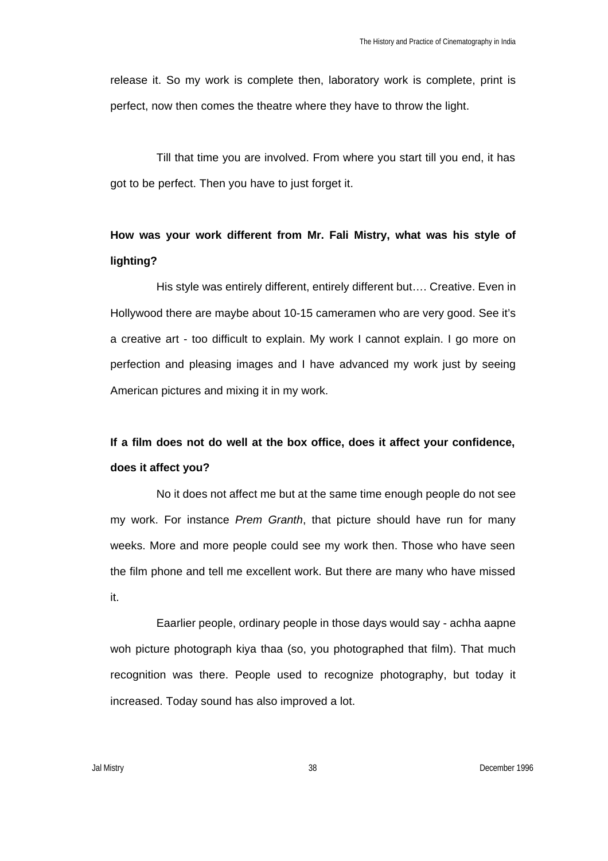release it. So my work is complete then, laboratory work is complete, print is perfect, now then comes the theatre where they have to throw the light.

Till that time you are involved. From where you start till you end, it has got to be perfect. Then you have to just forget it.

## **How was your work different from Mr. Fali Mistry, what was his style of lighting?**

His style was entirely different, entirely different but…. Creative. Even in Hollywood there are maybe about 10-15 cameramen who are very good. See it's a creative art - too difficult to explain. My work I cannot explain. I go more on perfection and pleasing images and I have advanced my work just by seeing American pictures and mixing it in my work.

# **If a film does not do well at the box office, does it affect your confidence, does it affect you?**

No it does not affect me but at the same time enough people do not see my work. For instance *Prem Granth*, that picture should have run for many weeks. More and more people could see my work then. Those who have seen the film phone and tell me excellent work. But there are many who have missed it.

Eaarlier people, ordinary people in those days would say - achha aapne woh picture photograph kiya thaa (so, you photographed that film). That much recognition was there. People used to recognize photography, but today it increased. Today sound has also improved a lot.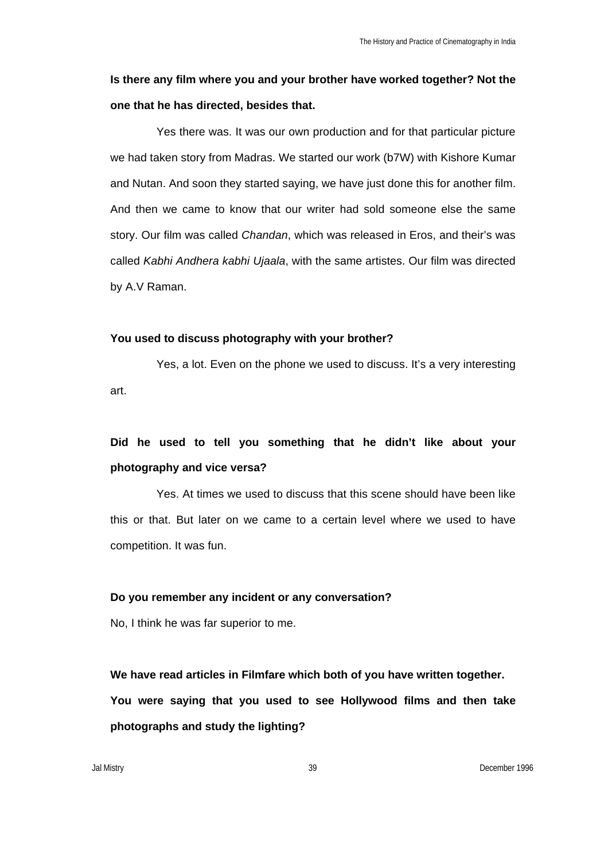## **Is there any film where you and your brother have worked together? Not the one that he has directed, besides that.**

Yes there was. It was our own production and for that particular picture we had taken story from Madras. We started our work (b7W) with Kishore Kumar and Nutan. And soon they started saying, we have just done this for another film. And then we came to know that our writer had sold someone else the same story. Our film was called *Chandan*, which was released in Eros, and their's was called *Kabhi Andhera kabhi Ujaala*, with the same artistes. Our film was directed by A.V Raman.

#### **You used to discuss photography with your brother?**

Yes, a lot. Even on the phone we used to discuss. It's a very interesting art.

## **Did he used to tell you something that he didn't like about your photography and vice versa?**

Yes. At times we used to discuss that this scene should have been like this or that. But later on we came to a certain level where we used to have competition. It was fun.

### **Do you remember any incident or any conversation?**

No, I think he was far superior to me.

**We have read articles in Filmfare which both of you have written together. You were saying that you used to see Hollywood films and then take photographs and study the lighting?**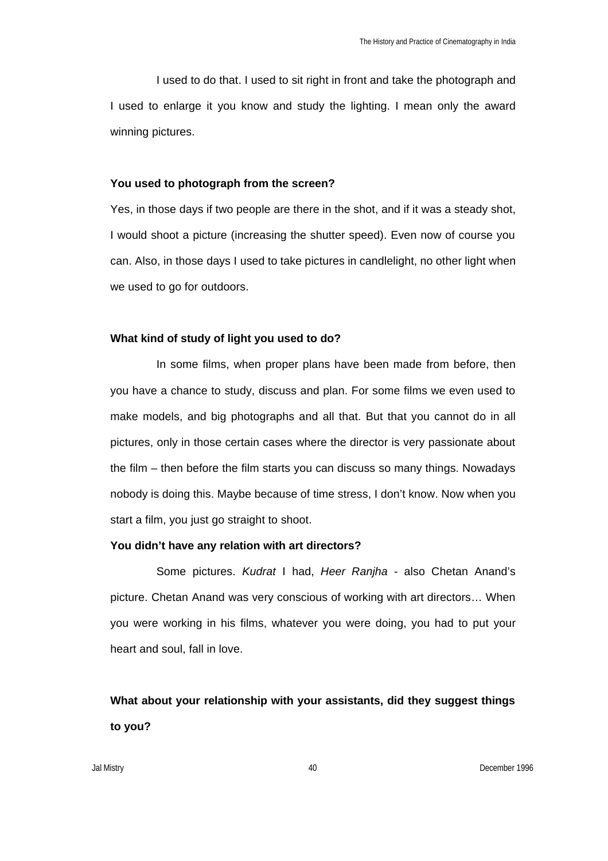I used to do that. I used to sit right in front and take the photograph and I used to enlarge it you know and study the lighting. I mean only the award winning pictures.

#### **You used to photograph from the screen?**

Yes, in those days if two people are there in the shot, and if it was a steady shot, I would shoot a picture (increasing the shutter speed). Even now of course you can. Also, in those days I used to take pictures in candlelight, no other light when we used to go for outdoors.

#### **What kind of study of light you used to do?**

In some films, when proper plans have been made from before, then you have a chance to study, discuss and plan. For some films we even used to make models, and big photographs and all that. But that you cannot do in all pictures, only in those certain cases where the director is very passionate about the film – then before the film starts you can discuss so many things. Nowadays nobody is doing this. Maybe because of time stress, I don't know. Now when you start a film, you just go straight to shoot.

#### **You didn't have any relation with art directors?**

Some pictures. *Kudrat* I had, *Heer Ranjha* - also Chetan Anand's picture. Chetan Anand was very conscious of working with art directors… When you were working in his films, whatever you were doing, you had to put your heart and soul, fall in love.

**What about your relationship with your assistants, did they suggest things to you?**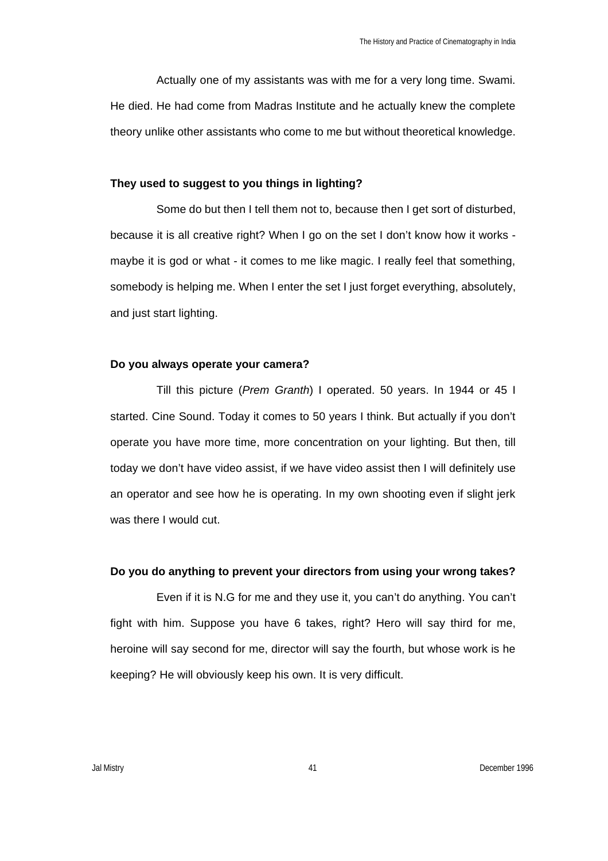Actually one of my assistants was with me for a very long time. Swami. He died. He had come from Madras Institute and he actually knew the complete theory unlike other assistants who come to me but without theoretical knowledge.

#### **They used to suggest to you things in lighting?**

Some do but then I tell them not to, because then I get sort of disturbed. because it is all creative right? When I go on the set I don't know how it works maybe it is god or what - it comes to me like magic. I really feel that something, somebody is helping me. When I enter the set I just forget everything, absolutely, and just start lighting.

### **Do you always operate your camera?**

Till this picture (*Prem Granth*) I operated. 50 years. In 1944 or 45 I started. Cine Sound. Today it comes to 50 years I think. But actually if you don't operate you have more time, more concentration on your lighting. But then, till today we don't have video assist, if we have video assist then I will definitely use an operator and see how he is operating. In my own shooting even if slight jerk was there I would cut.

### **Do you do anything to prevent your directors from using your wrong takes?**

Even if it is N.G for me and they use it, you can't do anything. You can't fight with him. Suppose you have 6 takes, right? Hero will say third for me, heroine will say second for me, director will say the fourth, but whose work is he keeping? He will obviously keep his own. It is very difficult.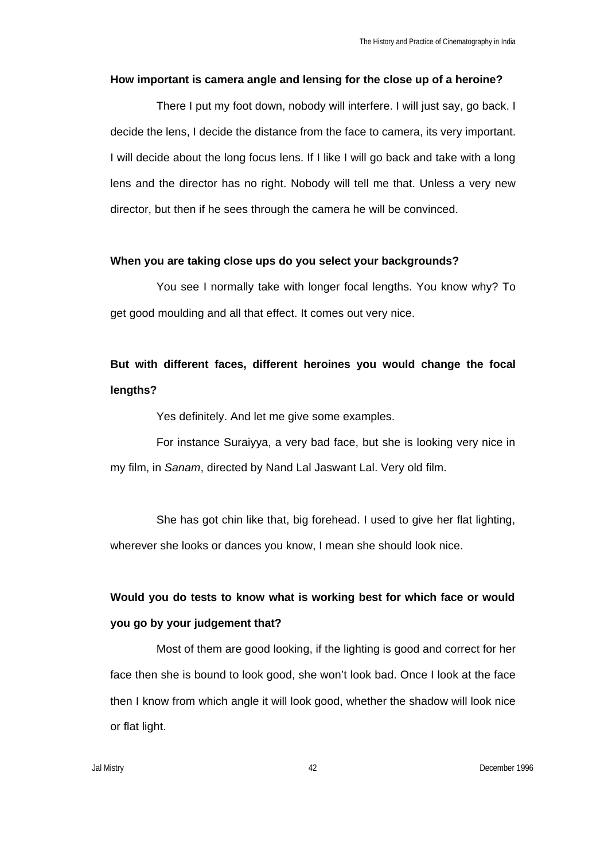#### **How important is camera angle and lensing for the close up of a heroine?**

There I put my foot down, nobody will interfere. I will just say, go back. I decide the lens, I decide the distance from the face to camera, its very important. I will decide about the long focus lens. If I like I will go back and take with a long lens and the director has no right. Nobody will tell me that. Unless a very new director, but then if he sees through the camera he will be convinced.

#### **When you are taking close ups do you select your backgrounds?**

You see I normally take with longer focal lengths. You know why? To get good moulding and all that effect. It comes out very nice.

# **But with different faces, different heroines you would change the focal lengths?**

Yes definitely. And let me give some examples.

For instance Suraiyya, a very bad face, but she is looking very nice in my film, in *Sanam*, directed by Nand Lal Jaswant Lal. Very old film.

She has got chin like that, big forehead. I used to give her flat lighting, wherever she looks or dances you know, I mean she should look nice.

# **Would you do tests to know what is working best for which face or would you go by your judgement that?**

Most of them are good looking, if the lighting is good and correct for her face then she is bound to look good, she won't look bad. Once I look at the face then I know from which angle it will look good, whether the shadow will look nice or flat light.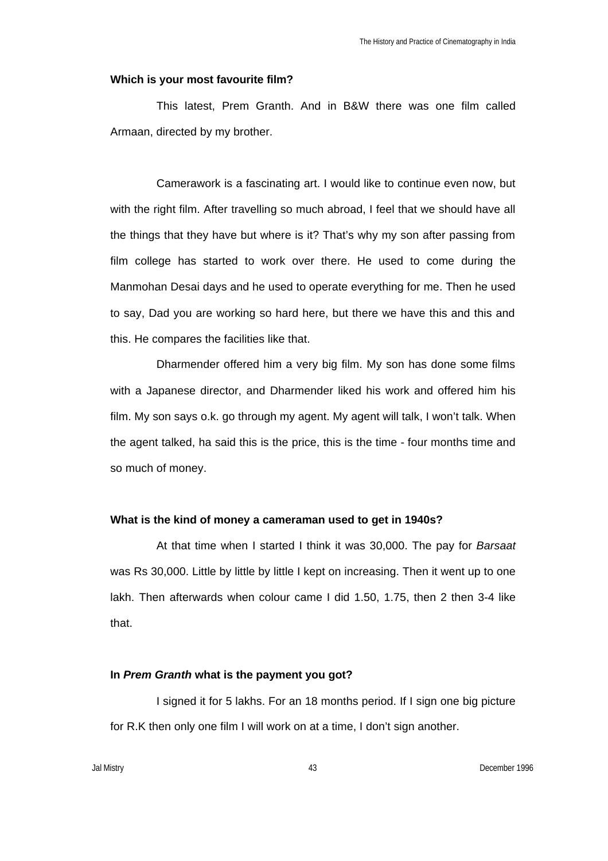#### **Which is your most favourite film?**

This latest, Prem Granth. And in B&W there was one film called Armaan, directed by my brother.

Camerawork is a fascinating art. I would like to continue even now, but with the right film. After travelling so much abroad, I feel that we should have all the things that they have but where is it? That's why my son after passing from film college has started to work over there. He used to come during the Manmohan Desai days and he used to operate everything for me. Then he used to say, Dad you are working so hard here, but there we have this and this and this. He compares the facilities like that.

Dharmender offered him a very big film. My son has done some films with a Japanese director, and Dharmender liked his work and offered him his film. My son says o.k. go through my agent. My agent will talk, I won't talk. When the agent talked, ha said this is the price, this is the time - four months time and so much of money.

## **What is the kind of money a cameraman used to get in 1940s?**

At that time when I started I think it was 30,000. The pay for *Barsaat* was Rs 30,000. Little by little by little I kept on increasing. Then it went up to one lakh. Then afterwards when colour came I did 1.50, 1.75, then 2 then 3-4 like that.

#### **In** *Prem Granth* **what is the payment you got?**

I signed it for 5 lakhs. For an 18 months period. If I sign one big picture for R.K then only one film I will work on at a time, I don't sign another.